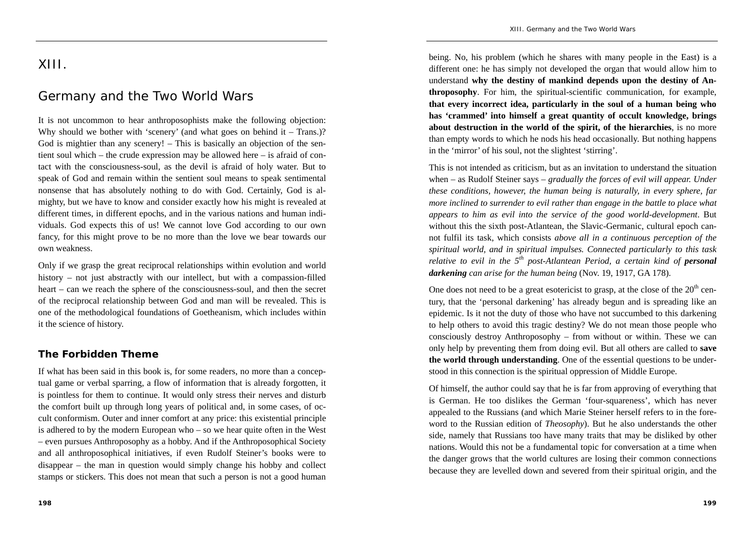## XIII.

# Germany and the Two World Wars

It is not uncommon to hear anthroposophists make the following objection: Why should we bother with 'scenery' (and what goes on behind it – Trans.)? God is mightier than any scenery! – This is basically an objection of the sentient soul which – the crude expression may be allowed here – is afraid of contact with the consciousness-soul, as the devil is afraid of holy water. But to speak of God and remain within the sentient soul means to speak sentimental nonsense that has absolutely nothing to do with God. Certainly, God is almighty, but we have to know and consider exactly how his might is revealed at different times, in different epochs, and in the various nations and human individuals. God expects this of us! We cannot love God according to our own fancy, for this might prove to be no more than the love we bear towards our own weakness.

Only if we grasp the great reciprocal relationships within evolution and world history – not just abstractly with our intellect, but with a compassion-filled heart – can we reach the sphere of the consciousness-soul, and then the secret of the reciprocal relationship between God and man will be revealed. This is one of the methodological foundations of Goetheanism, which includes within it the science of history.

#### **The Forbidden Theme**

If what has been said in this book is, for some readers, no more than a conceptual game or verbal sparring, a flow of information that is already forgotten, it is pointless for them to continue. It would only stress their nerves and disturb the comfort built up through long years of political and, in some cases, of occult conformism. Outer and inner comfort at any price: this existential principle is adhered to by the modern European who – so we hear quite often in the West – even pursues Anthroposophy as a hobby. And if the Anthroposophical Society and all anthroposophical initiatives, if even Rudolf Steiner's books were to disappear – the man in question would simply change his hobby and collect stamps or stickers. This does not mean that such a person is not a good human

being. No, his problem (which he shares with many people in the East) is a different one: he has simply not developed the organ that would allow him to understand **why the destiny of mankind depends upon the destiny of Anthroposophy**. For him, the spiritual-scientific communication, for example, **that every incorrect idea, particularly in the soul of a human being who has 'crammed' into himself a great quantity of occult knowledge, brings about destruction in the world of the spirit, of the hierarchies**, is no more than empty words to which he nods his head occasionally. But nothing happens in the 'mirror' of his soul, not the slightest 'stirring'.

This is not intended as criticism, but as an invitation to understand the situation when – as Rudolf Steiner says – *gradually the forces of evil will appear. Under these conditions, however, the human being is naturally, in every sphere, far more inclined to surrender to evil rather than engage in the battle to place what appears to him as evil into the service of the good world-development*. But without this the sixth post-Atlantean, the Slavic-Germanic, cultural epoch cannot fulfil its task, which consists *above all in a continuous perception of the spiritual world, and in spiritual impulses. Connected particularly to this task relative to evil in the 5th post-Atlantean Period, a certain kind of personal darkening can arise for the human being* (Nov. 19, 1917, GA 178).

One does not need to be a great esotericist to grasp, at the close of the  $20<sup>th</sup>$  century, that the 'personal darkening' has already begun and is spreading like an epidemic. Is it not the duty of those who have not succumbed to this darkening to help others to avoid this tragic destiny? We do not mean those people who consciously destroy Anthroposophy – from without or within. These we can only help by preventing them from doing evil. But all others are called to **save the world through understanding**. One of the essential questions to be understood in this connection is the spiritual oppression of Middle Europe.

Of himself, the author could say that he is far from approving of everything that is German. He too dislikes the German 'four-squareness', which has never appealed to the Russians (and which Marie Steiner herself refers to in the foreword to the Russian edition of *Theosophy*). But he also understands the other side, namely that Russians too have many traits that may be disliked by other nations. Would this not be a fundamental topic for conversation at a time when the danger grows that the world cultures are losing their common connections because they are levelled down and severed from their spiritual origin, and the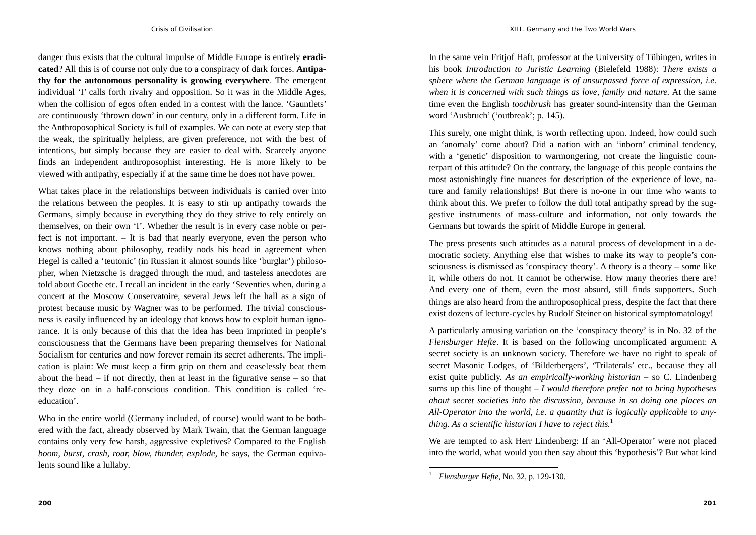danger thus exists that the cultural impulse of Middle Europe is entirely **eradicated**? All this is of course not only due to a conspiracy of dark forces. **Antipathy for the autonomous personality is growing everywhere**. The emergent individual 'I' calls forth rivalry and opposition. So it was in the Middle Ages, when the collision of egos often ended in a contest with the lance. 'Gauntlets' are continuously 'thrown down' in our century, only in a different form. Life in the Anthroposophical Society is full of examples. We can note at every step that the weak, the spiritually helpless, are given preference, not with the best of intentions, but simply because they are easier to deal with. Scarcely anyone finds an independent anthroposophist interesting. He is more likely to be viewed with antipathy, especially if at the same time he does not have power.

What takes place in the relationships between individuals is carried over into the relations between the peoples. It is easy to stir up antipathy towards the Germans, simply because in everything they do they strive to rely entirely on themselves, on their own 'I'. Whether the result is in every case noble or perfect is not important. – It is bad that nearly everyone, even the person who knows nothing about philosophy, readily nods his head in agreement when Hegel is called a 'teutonic' (in Russian it almost sounds like 'burglar') philosopher, when Nietzsche is dragged through the mud, and tasteless anecdotes are told about Goethe etc. I recall an incident in the early 'Seventies when, during a concert at the Moscow Conservatoire, several Jews left the hall as a sign of protest because music by Wagner was to be performed. The trivial consciousness is easily influenced by an ideology that knows how to exploit human ignorance. It is only because of this that the idea has been imprinted in people's consciousness that the Germans have been preparing themselves for National Socialism for centuries and now forever remain its secret adherents. The implication is plain: We must keep a firm grip on them and ceaselessly beat them about the head – if not directly, then at least in the figurative sense – so that they doze on in a half-conscious condition. This condition is called 'reeducation'.

Who in the entire world (Germany included, of course) would want to be bothered with the fact, already observed by Mark Twain, that the German language contains only very few harsh, aggressive expletives? Compared to the English *boom, burst, crash, roar, blow, thunder, explode,* he says, the German equivalents sound like a lullaby*.* 

In the same vein Fritjof Haft, professor at the University of Tübingen, writes in his book *Introduction to Juristic Learning* (Bielefeld 1988): *There exists a sphere where the German language is of unsurpassed force of expression, i.e. when it is concerned with such things as love, family and nature.* At the same time even the English *toothbrush* has greater sound-intensity than the German word 'Ausbruch' ('outbreak'; p. 145).

This surely, one might think, is worth reflecting upon. Indeed, how could such an 'anomaly' come about? Did a nation with an 'inborn' criminal tendency, with a 'genetic' disposition to warmongering, not create the linguistic counterpart of this attitude? On the contrary, the language of this people contains the most astonishingly fine nuances for description of the experience of love, nature and family relationships! But there is no-one in our time who wants to think about this. We prefer to follow the dull total antipathy spread by the suggestive instruments of mass-culture and information, not only towards the Germans but towards the spirit of Middle Europe in general.

The press presents such attitudes as a natural process of development in a democratic society. Anything else that wishes to make its way to people's consciousness is dismissed as 'conspiracy theory'. A theory is a theory – some like it, while others do not. It cannot be otherwise. How many theories there are! And every one of them, even the most absurd, still finds supporters. Such things are also heard from the anthroposophical press, despite the fact that there exist dozens of lecture-cycles by Rudolf Steiner on historical symptomatology!

A particularly amusing variation on the 'conspiracy theory' is in No. 32 of the *Flensburger Hefte*. It is based on the following uncomplicated argument: A secret society is an unknown society. Therefore we have no right to speak of secret Masonic Lodges, of 'Bilderbergers', 'Trilaterals' etc., because they all exist quite publicly. *As an empirically-working historian –* so C. Lindenberg sums up this line of thought *– I would therefore prefer not to bring hypotheses about secret societies into the discussion, because in so doing one places an All-Operator into the world, i.e. a quantity that is logically applicable to anything. As a scientific historian I have to reject this.*<sup>1</sup>

We are tempted to ask Herr Lindenberg: If an 'All-Operator' were not placed into the world, what would you then say about this 'hypothesis'? But what kind

*Flensburger Hefte*, No. 32, p. 129-130.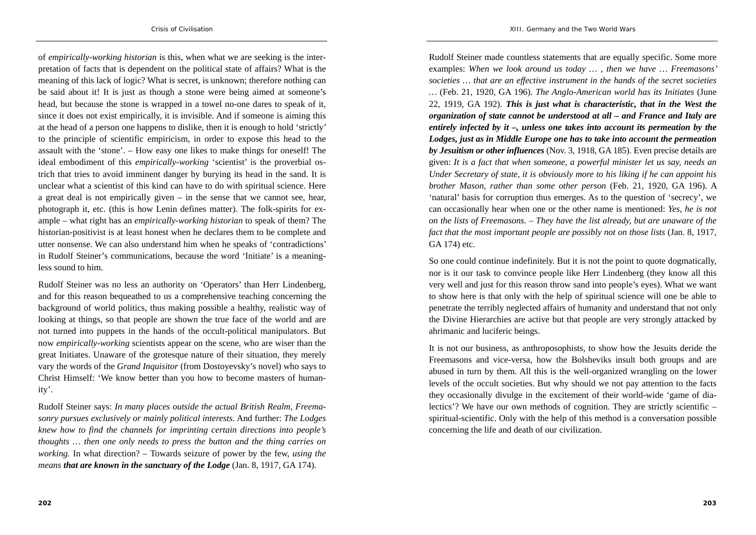of *empirically-working historian* is this, when what we are seeking is the interpretation of facts that is dependent on the political state of affairs? What is the meaning of this lack of logic? What is secret, is unknown; therefore nothing can be said about it! It is just as though a stone were being aimed at someone's head, but because the stone is wrapped in a towel no-one dares to speak of it, since it does not exist empirically, it is invisible. And if someone is aiming this at the head of a person one happens to dislike, then it is enough to hold 'strictly' to the principle of scientific empiricism, in order to expose this head to the assault with the 'stone'. – How easy one likes to make things for oneself! The ideal embodiment of this *empirically-working* 'scientist' is the proverbial ostrich that tries to avoid imminent danger by burying its head in the sand. It is unclear what a scientist of this kind can have to do with spiritual science. Here a great deal is not empirically given – in the sense that we cannot see, hear, photograph it, etc. (this is how Lenin defines matter). The folk-spirits for example – what right has an *empirically-working historian* to speak of them? The historian-positivist is at least honest when he declares them to be complete and utter nonsense. We can also understand him when he speaks of 'contradictions' in Rudolf Steiner's communications, because the word 'Initiate' is a meaningless sound to him.

Rudolf Steiner was no less an authority on 'Operators' than Herr Lindenberg, and for this reason bequeathed to us a comprehensive teaching concerning the background of world politics, thus making possible a healthy, realistic way of looking at things, so that people are shown the true face of the world and are not turned into puppets in the hands of the occult-political manipulators. But now *empirically-working* scientists appear on the scene, who are wiser than the great Initiates. Unaware of the grotesque nature of their situation, they merely vary the words of the *Grand Inquisitor* (from Dostoyevsky's novel) who says to Christ Himself: 'We know better than you how to become masters of humanity'.

Rudolf Steiner says: *In many places outside the actual British Realm, Freemasonry pursues exclusively or mainly political interests*. And further: *The Lodges knew how to find the channels for imprinting certain directions into people's thoughts … then one only needs to press the button and the thing carries on working.* In what direction? – Towards seizure of power by the few, *using the means that are known in the sanctuary of the Lodge* (Jan. 8, 1917, GA 174).

Rudolf Steiner made countless statements that are equally specific. Some more examples: *When we look around us today … , then we have … Freemasons' societies … that are an effective instrument in the hands of the secret societies …* (Feb. 21, 1920, GA 196). *The Anglo-American world has its Initiates* (June 22, 1919, GA 192). *This is just what is characteristic, that in the West the organization of state cannot be understood at all – and France and Italy are entirely infected by it –, unless one takes into account its permeation by the Lodges, just as in Middle Europe one has to take into account the permeation by Jesuitism or other influences* (Nov. 3, 1918, GA 185). Even precise details are given: *It is a fact that when someone, a powerful minister let us say, needs an Under Secretary of state, it is obviously more to his liking if he can appoint his brother Mason, rather than some other person* (Feb. 21, 1920, GA 196). A 'natural' basis for corruption thus emerges. As to the question of 'secrecy', we can occasionally hear when one or the other name is mentioned: *Yes, he is not on the lists of Freemasons. – They have the list already, but are unaware of the fact that the most important people are possibly not on those lists* (Jan. 8, 1917, GA 174) etc.

So one could continue indefinitely. But it is not the point to quote dogmatically, nor is it our task to convince people like Herr Lindenberg (they know all this very well and just for this reason throw sand into people's eyes). What we want to show here is that only with the help of spiritual science will one be able to penetrate the terribly neglected affairs of humanity and understand that not only the Divine Hierarchies are active but that people are very strongly attacked by ahrimanic and luciferic beings.

It is not our business, as anthroposophists, to show how the Jesuits deride the Freemasons and vice-versa, how the Bolsheviks insult both groups and are abused in turn by them. All this is the well-organized wrangling on the lower levels of the occult societies. But why should we not pay attention to the facts they occasionally divulge in the excitement of their world-wide 'game of dialectics'? We have our own methods of cognition. They are strictly scientific – spiritual-scientific. Only with the help of this method is a conversation possible concerning the life and death of our civilization.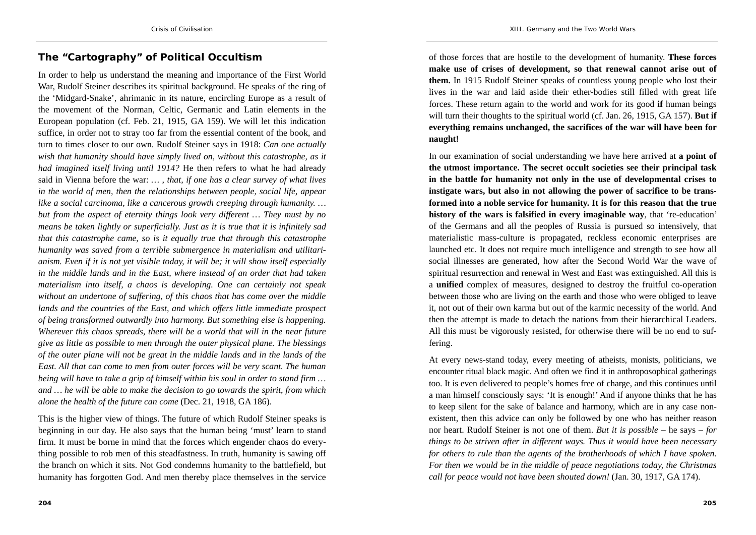#### **The "Cartography" of Political Occultism**

In order to help us understand the meaning and importance of the First World War, Rudolf Steiner describes its spiritual background. He speaks of the ring of the 'Midgard-Snake', ahrimanic in its nature, encircling Europe as a result of the movement of the Norman, Celtic, Germanic and Latin elements in the European population (cf. Feb. 21, 1915, GA 159). We will let this indication suffice, in order not to stray too far from the essential content of the book, and turn to times closer to our own. Rudolf Steiner says in 1918: *Can one actually wish that humanity should have simply lived on, without this catastrophe, as it had imagined itself living until 1914?* He then refers to what he had already said in Vienna before the war: *… , that, if one has a clear survey of what lives in the world of men, then the relationships between people, social life, appear like a social carcinoma, like a cancerous growth creeping through humanity. … but from the aspect of eternity things look very different … They must by no means be taken lightly or superficially. Just as it is true that it is infinitely sad that this catastrophe came, so is it equally true that through this catastrophe humanity was saved from a terrible submergence in materialism and utilitarianism. Even if it is not yet visible today, it will be; it will show itself especially in the middle lands and in the East, where instead of an order that had taken materialism into itself, a chaos is developing. One can certainly not speak without an undertone of suffering, of this chaos that has come over the middle lands and the countries of the East, and which offers little immediate prospect of being transformed outwardly into harmony. But something else is happening. Wherever this chaos spreads, there will be a world that will in the near future give as little as possible to men through the outer physical plane. The blessings of the outer plane will not be great in the middle lands and in the lands of the East. All that can come to men from outer forces will be very scant. The human being will have to take a grip of himself within his soul in order to stand firm … and … he will be able to make the decision to go towards the spirit, from which alone the health of the future can come* (Dec. 21, 1918, GA 186).

This is the higher view of things. The future of which Rudolf Steiner speaks is beginning in our day. He also says that the human being 'must' learn to stand firm. It must be borne in mind that the forces which engender chaos do everything possible to rob men of this steadfastness. In truth, humanity is sawing off the branch on which it sits. Not God condemns humanity to the battlefield, but humanity has forgotten God. And men thereby place themselves in the service

of those forces that are hostile to the development of humanity. **These forces make use of crises of development, so that renewal cannot arise out of them.** In 1915 Rudolf Steiner speaks of countless young people who lost their lives in the war and laid aside their ether-bodies still filled with great life forces. These return again to the world and work for its good **if** human beings will turn their thoughts to the spiritual world (cf. Jan. 26, 1915, GA 157). **But if everything remains unchanged, the sacrifices of the war will have been for naught!**

In our examination of social understanding we have here arrived at **a point of the utmost importance. The secret occult societies see their principal task in the battle for humanity not only in the use of developmental crises to instigate wars, but also in not allowing the power of sacrifice to be transformed into a noble service for humanity. It is for this reason that the true history of the wars is falsified in every imaginable way**, that 're-education' of the Germans and all the peoples of Russia is pursued so intensively, that materialistic mass-culture is propagated, reckless economic enterprises are launched etc. It does not require much intelligence and strength to see how all social illnesses are generated, how after the Second World War the wave of spiritual resurrection and renewal in West and East was extinguished. All this is <sup>a</sup>**unified** complex of measures, designed to destroy the fruitful co-operation between those who are living on the earth and those who were obliged to leave it, not out of their own karma but out of the karmic necessity of the world. And then the attempt is made to detach the nations from their hierarchical Leaders. All this must be vigorously resisted, for otherwise there will be no end to suffering.

At every news-stand today, every meeting of atheists, monists, politicians, we encounter ritual black magic. And often we find it in anthroposophical gatherings too. It is even delivered to people's homes free of charge, and this continues until a man himself consciously says: 'It is enough!' And if anyone thinks that he has to keep silent for the sake of balance and harmony, which are in any case nonexistent, then this advice can only be followed by one who has neither reason nor heart. Rudolf Steiner is not one of them. *But it is possible* – he says – *for things to be striven after in different ways. Thus it would have been necessary for others to rule than the agents of the brotherhoods of which I have spoken. For then we would be in the middle of peace negotiations today, the Christmas call for peace would not have been shouted down!* (Jan. 30, 1917, GA 174).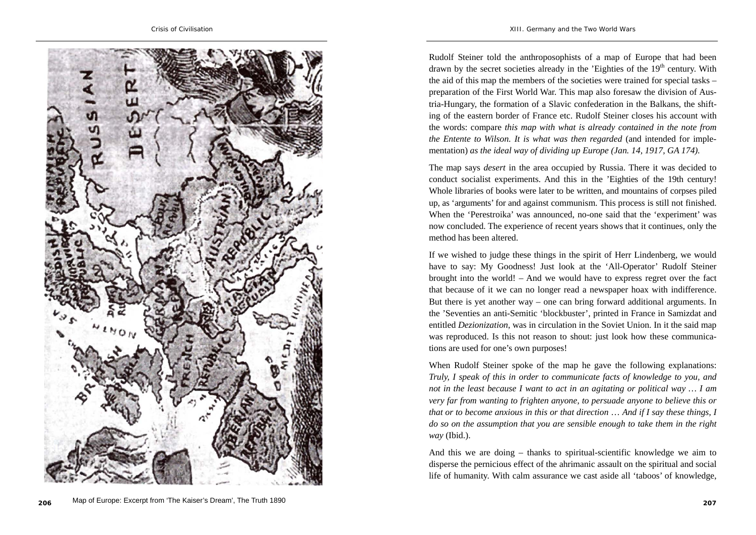

Rudolf Steiner told the anthroposophists of a map of Europe that had been drawn by the secret societies already in the 'Eighties of the  $19<sup>th</sup>$  century. With the aid of this map the members of the societies were trained for special tasks – preparation of the First World War. This map also foresaw the division of Austria-Hungary, the formation of a Slavic confederation in the Balkans, the shifting of the eastern border of France etc. Rudolf Steiner closes his account with the words: compare *this map with what is already contained in the note from the Entente to Wilson. It is what was then regarded* (and intended for implementation) *as the ideal way of dividing up Europe (Jan. 14, 1917, GA 174).* 

The map says *desert* in the area occupied by Russia. There it was decided to conduct socialist experiments. And this in the 'Eighties of the 19th century! Whole libraries of books were later to be written, and mountains of corpses piled up, as 'arguments' for and against communism. This process is still not finished. When the 'Perestroika' was announced, no-one said that the 'experiment' was now concluded. The experience of recent years shows that it continues, only the method has been altered.

If we wished to judge these things in the spirit of Herr Lindenberg, we would have to say: My Goodness! Just look at the 'All-Operator' Rudolf Steiner brought into the world! – And we would have to express regret over the fact that because of it we can no longer read a newspaper hoax with indifference. But there is yet another way – one can bring forward additional arguments. In the 'Seventies an anti-Semitic 'blockbuster', printed in France in Samizdat and entitled *Dezionization*, was in circulation in the Soviet Union. In it the said map was reproduced. Is this not reason to shout: just look how these communications are used for one's own purposes!

When Rudolf Steiner spoke of the map he gave the following explanations: *Truly, I speak of this in order to communicate facts of knowledge to you, and not in the least because I want to act in an agitating or political way … I am very far from wanting to frighten anyone, to persuade anyone to believe this or that or to become anxious in this or that direction* … *And if I say these things, I do so on the assumption that you are sensible enough to take them in the right way* (Ibid.).

And this we are doing – thanks to spiritual-scientific knowledge we aim to disperse the pernicious effect of the ahrimanic assault on the spiritual and social life of humanity. With calm assurance we cast aside all 'taboos' of knowledge,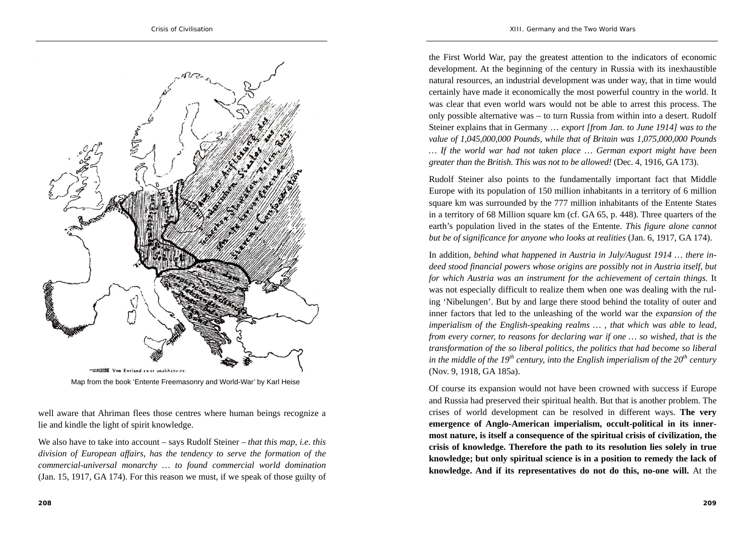

Map from the book 'Entente Freemasonry and World-War' by Karl Heise

well aware that Ahriman flees those centres where human beings recognize a lie and kindle the light of spirit knowledge.

We also have to take into account – says Rudolf Steiner – *that this map, i.e. this division of European affairs, has the tendency to serve the formation of the commercial-universal monarchy … to found commercial world domination*  (Jan. 15, 1917, GA 174). For this reason we must, if we speak of those guilty of

the First World War, pay the greatest attention to the indicators of economic development. At the beginning of the century in Russia with its inexhaustible natural resources, an industrial development was under way, that in time would certainly have made it economically the most powerful country in the world. It was clear that even world wars would not be able to arrest this process. The only possible alternative was – to turn Russia from within into a desert. Rudolf Steiner explains that in Germany … *export [from Jan. to June 1914] was to the value of 1,045,000,000 Pounds, while that of Britain was 1,075,000,000 Pounds … If the world war had not taken place … German export might have been greater than the British. This was not to be allowed!* (Dec. 4, 1916, GA 173).

Rudolf Steiner also points to the fundamentally important fact that Middle Europe with its population of 150 million inhabitants in a territory of 6 million square km was surrounded by the 777 million inhabitants of the Entente States in a territory of 68 Million square km (cf. GA 65, p. 448). Three quarters of the earth's population lived in the states of the Entente. *This figure alone cannot but be of significance for anyone who looks at realities* (Jan. 6, 1917, GA 174).

In addition, *behind what happened in Austria in July/August 1914 … there indeed stood financial powers whose origins are possibly not in Austria itself, but for which Austria was an instrument for the achievement of certain things.* It was not especially difficult to realize them when one was dealing with the ruling 'Nibelungen'. But by and large there stood behind the totality of outer and inner factors that led to the unleashing of the world war the *expansion of the imperialism of the English-speaking realms … , that which was able to lead, from every corner, to reasons for declaring war if one … so wished, that is the transformation of the so liberal politics, the politics that had become so liberal in the middle of the 19<sup>th</sup> century, into the English imperialism of the 20<sup>th</sup> century* (Nov. 9, 1918, GA 185a).

Of course its expansion would not have been crowned with success if Europe and Russia had preserved their spiritual health. But that is another problem. The crises of world development can be resolved in different ways. **The very emergence of Anglo-American imperialism, occult-political in its innermost nature, is itself a consequence of the spiritual crisis of civilization, the crisis of knowledge. Therefore the path to its resolution lies solely in true knowledge; but only spiritual science is in a position to remedy the lack of knowledge. And if its representatives do not do this, no-one will.** At the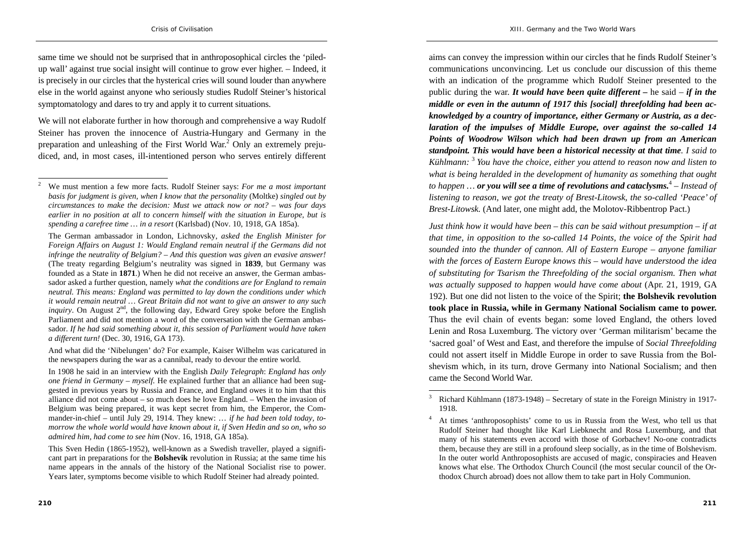same time we should not be surprised that in anthroposophical circles the 'piledup wall' against true social insight will continue to grow ever higher. – Indeed, it is precisely in our circles that the hysterical cries will sound louder than anywhere else in the world against anyone who seriously studies Rudolf Steiner's historical symptomatology and dares to try and apply it to current situations.

We will not elaborate further in how thorough and comprehensive a way Rudolf Steiner has proven the innocence of Austria-Hungary and Germany in the preparation and unleashing of the First World War.<sup>2</sup> Only an extremely prejudiced, and, in most cases, ill-intentioned person who serves entirely different

 And what did the 'Nibelungen' do? For example, Kaiser Wilhelm was caricatured in the newspapers during the war as a cannibal, ready to devour the entire world.

In 1908 he said in an interview with the English *Daily Telegraph*: *England has only one friend in Germany – myself.* He explained further that an alliance had been suggested in previous years by Russia and France, and England owes it to him that this alliance did not come about – so much does he love England. – When the invasion of Belgium was being prepared, it was kept secret from him, the Emperor, the Commander-in-chief – until July 29, 1914. They knew: … *if he had been told today, tomorrow the whole world would have known about it, if Sven Hedin and so on, who so admired him, had come to see him* (Nov. 16, 1918, GA 185a).

aims can convey the impression within our circles that he finds Rudolf Steiner's communications unconvincing. Let us conclude our discussion of this theme with an indication of the programme which Rudolf Steiner presented to the public during the war. *It would have been quite different –* he said – *if in the middle or even in the autumn of 1917 this [social] threefolding had been acknowledged by a country of importance, either Germany or Austria, as a declaration of the impulses of Middle Europe, over against the so-called 14 Points of Woodrow Wilson which had been drawn up from an American standpoint. This would have been a historical necessity at that time. I said to Kühlmann:* <sup>3</sup> *You have the choice, either you attend to reason now and listen to what is being heralded in the development of humanity as something that ought to happen … or you will see a time of revolutions and cataclysms.*<sup>4</sup> *– Instead of listening to reason, we got the treaty of Brest-Litowsk, the so-called 'Peace' of Brest-Litowsk.* (And later, one might add, the Molotov-Ribbentrop Pact.)

*Just think how it would have been – this can be said without presumption – if at that time, in opposition to the so-called 14 Points, the voice of the Spirit had sounded into the thunder of cannon. All of Eastern Europe – anyone familiar with the forces of Eastern Europe knows this – would have understood the idea of substituting for Tsarism the Threefolding of the social organism. Then what was actually supposed to happen would have come about* (Apr. 21, 1919, GA 192). But one did not listen to the voice of the Spirit; **the Bolshevik revolution took place in Russia, while in Germany National Socialism came to power.** Thus the evil chain of events began: some loved England, the others loved Lenin and Rosa Luxemburg. The victory over 'German militarism' became the 'sacred goal' of West and East, and therefore the impulse of *Social Threefolding* could not assert itself in Middle Europe in order to save Russia from the Bolshevism which, in its turn, drove Germany into National Socialism; and then came the Second World War.

<sup>2</sup> We must mention a few more facts. Rudolf Steiner says: *For me a most important basis for judgment is given, when I know that the personality* (Moltke) *singled out by circumstances to make the decision: Must we attack now or not? – was four days earlier in no position at all to concern himself with the situation in Europe, but is spending a carefree time … in a resort* (Karlsbad) (Nov. 10, 1918, GA 185a).

The German ambassador in London, Lichnovsky, *asked the English Minister for Foreign Affairs on August 1: Would England remain neutral if the Germans did not infringe the neutrality of Belgium? – And this question was given an evasive answer!* (The treaty regarding Belgium's neutrality was signed in **1839**, but Germany was founded as a State in **1871**.) When he did not receive an answer, the German ambassador asked a further question, namely *what the conditions are for England to remain neutral. This means: England was permitted to lay down the conditions under which it would remain neutral … Great Britain did not want to give an answer to any such inquiry*. On August  $2^{nd}$ , the following day, Edward Grey spoke before the English Parliament and did not mention a word of the conversation with the German ambassador. *If he had said something about it, this session of Parliament would have taken a different turn!* (Dec. 30, 1916, GA 173).

This Sven Hedin (1865-1952), well-known as a Swedish traveller, played a significant part in preparations for the **Bolshevik** revolution in Russia; at the same time his name appears in the annals of the history of the National Socialist rise to power. Years later, symptoms become visible to which Rudolf Steiner had already pointed.

<sup>3</sup> Richard Kühlmann (1873-1948) – Secretary of state in the Foreign Ministry in 1917- 1918.

<sup>&</sup>lt;sup>4</sup> At times 'anthroposophists' come to us in Russia from the West, who tell us that Rudolf Steiner had thought like Karl Liebknecht and Rosa Luxemburg, and that many of his statements even accord with those of Gorbachev! No-one contradicts them, because they are still in a profound sleep socially, as in the time of Bolshevism. In the outer world Anthroposophists are accused of magic, conspiracies and Heaven knows what else. The Orthodox Church Council (the most secular council of the Orthodox Church abroad) does not allow them to take part in Holy Communion.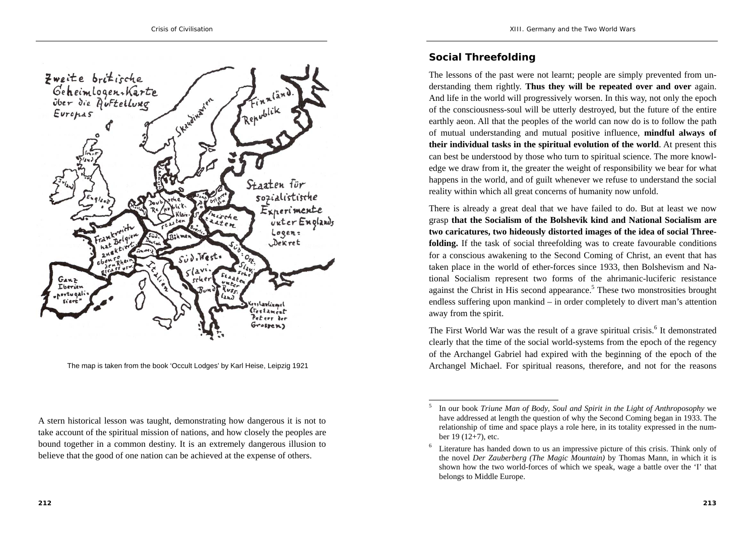

The map is taken from the book 'Occult Lodges' by Karl Heise, Leipzig 1921

A stern historical lesson was taught, demonstrating how dangerous it is not to take account of the spiritual mission of nations, and how closely the peoples are bound together in a common destiny. It is an extremely dangerous illusion to believe that the good of one nation can be achieved at the expense of others.

### **Social Threefolding**

The lessons of the past were not learnt; people are simply prevented from understanding them rightly. **Thus they will be repeated over and over** again. And life in the world will progressively worsen. In this way, not only the epoch of the consciousness-soul will be utterly destroyed, but the future of the entire earthly aeon. All that the peoples of the world can now do is to follow the path of mutual understanding and mutual positive influence, **mindful always of their individual tasks in the spiritual evolution of the world**. At present this can best be understood by those who turn to spiritual science. The more knowledge we draw from it, the greater the weight of responsibility we bear for what happens in the world, and of guilt whenever we refuse to understand the social reality within which all great concerns of humanity now unfold.

There is already a great deal that we have failed to do. But at least we now grasp **that the Socialism of the Bolshevik kind and National Socialism are two caricatures, two hideously distorted images of the idea of social Threefolding.** If the task of social threefolding was to create favourable conditions for a conscious awakening to the Second Coming of Christ, an event that has taken place in the world of ether-forces since 1933, then Bolshevism and National Socialism represent two forms of the ahrimanic-luciferic resistance against the Christ in His second appearance.<sup>5</sup> These two monstrosities brought endless suffering upon mankind – in order completely to divert man's attention away from the spirit.

The First World War was the result of a grave spiritual crisis.<sup>6</sup> It demonstrated clearly that the time of the social world-systems from the epoch of the regency of the Archangel Gabriel had expired with the beginning of the epoch of the Archangel Michael. For spiritual reasons, therefore, and not for the reasons

<sup>5</sup> In our book *Triune Man of Body, Soul and Spirit in the Light of Anthroposophy* we have addressed at length the question of why the Second Coming began in 1933. The relationship of time and space plays a role here, in its totality expressed in the number 19 (12+7), etc.

<sup>6</sup> Literature has handed down to us an impressive picture of this crisis. Think only of the novel *Der Zauberberg (The Magic Mountain)* by Thomas Mann, in which it is shown how the two world-forces of which we speak, wage a battle over the 'I' that belongs to Middle Europe.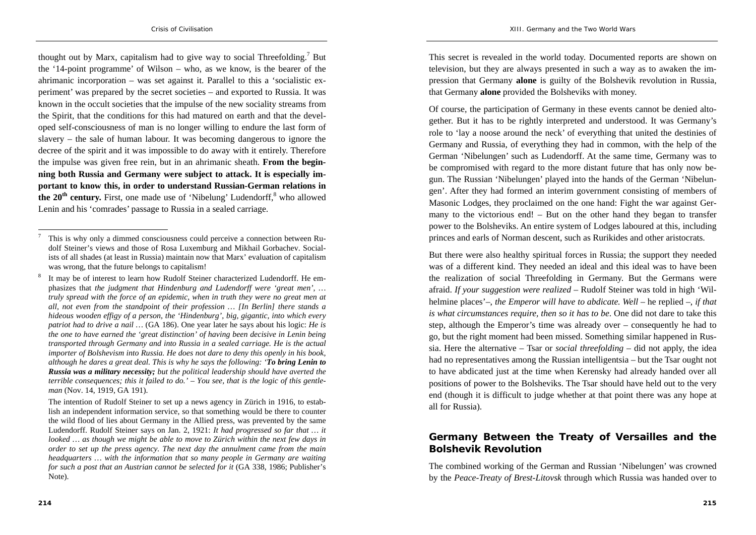thought out by Marx, capitalism had to give way to social Threefolding.<sup>7</sup> But the '14-point programme' of Wilson – who, as we know, is the bearer of the ahrimanic incorporation – was set against it. Parallel to this a 'socialistic experiment' was prepared by the secret societies – and exported to Russia. It was known in the occult societies that the impulse of the new sociality streams from the Spirit, that the conditions for this had matured on earth and that the developed self-consciousness of man is no longer willing to endure the last form of slavery – the sale of human labour. It was becoming dangerous to ignore the decree of the spirit and it was impossible to do away with it entirely. Therefore the impulse was given free rein, but in an ahrimanic sheath. **From the beginning both Russia and Germany were subject to attack. It is especially important to know this, in order to understand Russian-German relations in the 20<sup>th</sup> century.** First, one made use of 'Nibelung' Ludendorff, <sup>8</sup> who allowed Lenin and his 'comrades' passage to Russia in a sealed carriage.

 The intention of Rudolf Steiner to set up a news agency in Zürich in 1916, to establish an independent information service, so that something would be there to counter the wild flood of lies about Germany in the Allied press, was prevented by the same Ludendorff. Rudolf Steiner says on Jan. 2, 1921: *It had progressed so far that … it looked … as though we might be able to move to Zürich within the next few days in order to set up the press agency. The next day the annulment came from the main headquarters … with the information that so many people in Germany are waiting for such a post that an Austrian cannot be selected for it* (GA 338, 1986; Publisher's Note).

This secret is revealed in the world today. Documented reports are shown on television, but they are always presented in such a way as to awaken the impression that Germany **alone** is guilty of the Bolshevik revolution in Russia, that Germany **alone** provided the Bolsheviks with money.

Of course, the participation of Germany in these events cannot be denied altogether. But it has to be rightly interpreted and understood. It was Germany's role to 'lay a noose around the neck' of everything that united the destinies of Germany and Russia, of everything they had in common, with the help of the German 'Nibelungen' such as Ludendorff. At the same time, Germany was to be compromised with regard to the more distant future that has only now begun. The Russian 'Nibelungen' played into the hands of the German 'Nibelungen'. After they had formed an interim government consisting of members of Masonic Lodges, they proclaimed on the one hand: Fight the war against Germany to the victorious end! – But on the other hand they began to transfer power to the Bolsheviks. An entire system of Lodges laboured at this, including princes and earls of Norman descent, such as Rurikides and other aristocrats.

But there were also healthy spiritual forces in Russia; the support they needed was of a different kind. They needed an ideal and this ideal was to have been the realization of social Threefolding in Germany. But the Germans were afraid. *If your suggestion were realized* – Rudolf Steiner was told in high 'Wilhelmine places'–, *the Emperor will have to abdicate. Well* – he replied –, *if that is what circumstances require, then so it has to be*. One did not dare to take this step, although the Emperor's time was already over – consequently he had to go, but the right moment had been missed. Something similar happened in Russia. Here the alternative – Tsar or *social threefolding* – did not apply, the idea had no representatives among the Russian intelligentsia – but the Tsar ought not to have abdicated just at the time when Kerensky had already handed over all positions of power to the Bolsheviks. The Tsar should have held out to the very end (though it is difficult to judge whether at that point there was any hope at all for Russia).

### **Germany Between the Treaty of Versailles and the Bolshevik Revolution**

The combined working of the German and Russian 'Nibelungen' was crowned by the *Peace-Treaty of Brest-Litovsk* through which Russia was handed over to

<sup>7</sup> This is why only a dimmed consciousness could perceive a connection between Rudolf Steiner's views and those of Rosa Luxemburg and Mikhail Gorbachev. Socialists of all shades (at least in Russia) maintain now that Marx' evaluation of capitalism was wrong, that the future belongs to capitalism!

<sup>8</sup> It may be of interest to learn how Rudolf Steiner characterized Ludendorff. He emphasizes that *the judgment that Hindenburg and Ludendorff were 'great men', … truly spread with the force of an epidemic, when in truth they were no great men at all, not even from the standpoint of their profession … [In Berlin] there stands a hideous wooden effigy of a person, the 'Hindenburg', big, gigantic, into which every patriot had to drive a nail …* (GA 186). One year later he says about his logic: *He is the one to have earned the 'great distinction' of having been decisive in Lenin being transported through Germany and into Russia in a sealed carriage. He is the actual importer of Bolshevism into Russia. He does not dare to deny this openly in his book, although he dares a great deal. This is why he says the following: 'To bring Lenin to Russia was a military necessity; but the political leadership should have averted the terrible consequences; this it failed to do.' – You see, that is the logic of this gentleman* (Nov. 14, 1919, GA 191).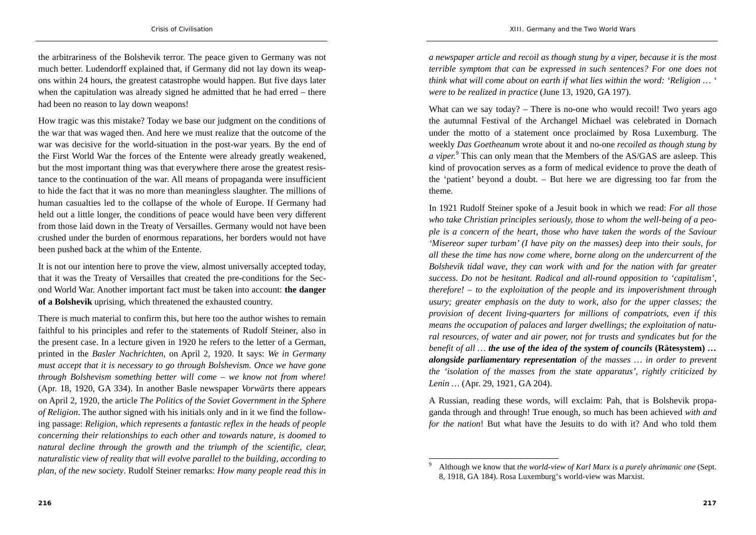the arbitrariness of the Bolshevik terror. The peace given to Germany was not much better. Ludendorff explained that, if Germany did not lay down its weapons within 24 hours, the greatest catastrophe would happen. But five days later when the capitulation was already signed he admitted that he had erred – there had been no reason to lay down weapons!

How tragic was this mistake? Today we base our judgment on the conditions of the war that was waged then. And here we must realize that the outcome of the war was decisive for the world-situation in the post-war years. By the end of the First World War the forces of the Entente were already greatly weakened, but the most important thing was that everywhere there arose the greatest resistance to the continuation of the war. All means of propaganda were insufficient to hide the fact that it was no more than meaningless slaughter. The millions of human casualties led to the collapse of the whole of Europe. If Germany had held out a little longer, the conditions of peace would have been very different from those laid down in the Treaty of Versailles. Germany would not have been crushed under the burden of enormous reparations, her borders would not have been pushed back at the whim of the Entente.

It is not our intention here to prove the view, almost universally accepted today, that it was the Treaty of Versailles that created the pre-conditions for the Second World War. Another important fact must be taken into account: **the danger of a Bolshevik** uprising, which threatened the exhausted country.

There is much material to confirm this, but here too the author wishes to remain faithful to his principles and refer to the statements of Rudolf Steiner, also in the present case. In a lecture given in 1920 he refers to the letter of a German, printed in the *Basler Nachrichten*, on April 2, 1920. It says: *We in Germany must accept that it is necessary to go through Bolshevism. Once we have gone through Bolshevism something better will come – we know not from where!* (Apr. 18, 1920, GA 334). In another Basle newspaper *Vorwärts* there appears on April 2, 1920, the article *The Politics of the Soviet Government in the Sphere of Religion*. The author signed with his initials only and in it we find the following passage: *Religion, which represents a fantastic reflex in the heads of people concerning their relationships to each other and towards nature, is doomed to natural decline through the growth and the triumph of the scientific, clear, naturalistic view of reality that will evolve parallel to the building, according to plan, of the new society*. Rudolf Steiner remarks: *How many people read this in* 

*a newspaper article and recoil as though stung by a viper, because it is the most terrible symptom that can be expressed in such sentences? For one does not think what will come about on earth if what lies within the word: 'Religion … ' were to be realized in practice* (June 13, 1920, GA 197).

What can we say today?  $-$  There is no-one who would recoil! Two years ago the autumnal Festival of the Archangel Michael was celebrated in Dornach under the motto of a statement once proclaimed by Rosa Luxemburg. The weekly *Das Goetheanum* wrote about it and no-one *recoiled as though stung by a viper.*9 This can only mean that the Members of the AS/GAS are asleep. This kind of provocation serves as a form of medical evidence to prove the death of the 'patient' beyond a doubt. – But here we are digressing too far from the theme.

In 1921 Rudolf Steiner spoke of a Jesuit book in which we read: *For all those who take Christian principles seriously, those to whom the well-being of a people is a concern of the heart, those who have taken the words of the Saviour 'Misereor super turbam' (I have pity on the masses) deep into their souls, for all these the time has now come where, borne along on the undercurrent of the Bolshevik tidal wave, they can work with and for the nation with far greater success. Do not be hesitant. Radical and all-round opposition to 'capitalism', therefore! – to the exploitation of the people and its impoverishment through usury; greater emphasis on the duty to work, also for the upper classes; the provision of decent living-quarters for millions of compatriots, even if this means the occupation of palaces and larger dwellings; the exploitation of natural resources, of water and air power, not for trusts and syndicates but for the benefit of all … the use of the idea of the system of councils* **(Rätesystem)** *… alongside parliamentary representation of the masses … in order to prevent the 'isolation of the masses from the state apparatus', rightly criticized by Lenin …* (Apr. 29, 1921, GA 204).

A Russian, reading these words, will exclaim: Pah, that is Bolshevik propaganda through and through! True enough, so much has been achieved *with and for the nation*! But what have the Jesuits to do with it? And who told them

<sup>9</sup> Although we know that *the world-view of Karl Marx is a purely ahrimanic one* (Sept. 8, 1918, GA 184). Rosa Luxemburg's world-view was Marxist.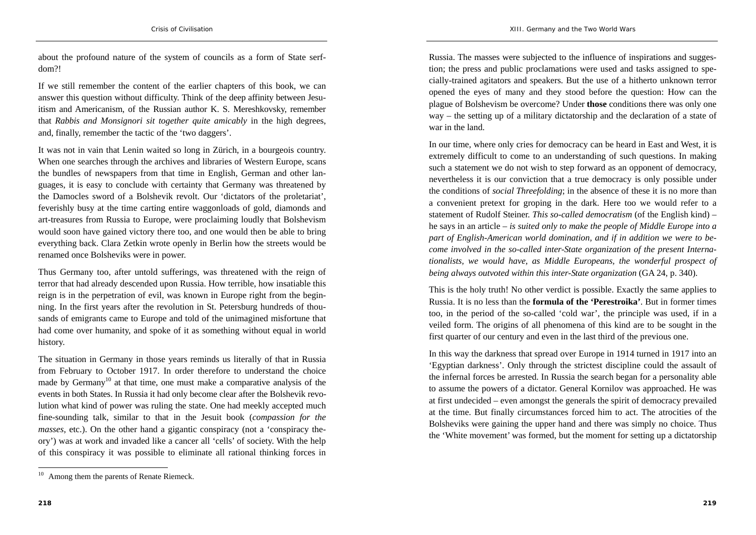about the profound nature of the system of councils as a form of State serfdom?!

If we still remember the content of the earlier chapters of this book, we can answer this question without difficulty. Think of the deep affinity between Jesuitism and Americanism, of the Russian author K. S. Mereshkovsky, remember that *Rabbis and Monsignori sit together quite amicably* in the high degrees, and, finally, remember the tactic of the 'two daggers'.

It was not in vain that Lenin waited so long in Zürich, in a bourgeois country. When one searches through the archives and libraries of Western Europe, scans the bundles of newspapers from that time in English, German and other languages, it is easy to conclude with certainty that Germany was threatened by the Damocles sword of a Bolshevik revolt. Our 'dictators of the proletariat', feverishly busy at the time carting entire waggonloads of gold, diamonds and art-treasures from Russia to Europe, were proclaiming loudly that Bolshevism would soon have gained victory there too, and one would then be able to bring everything back. Clara Zetkin wrote openly in Berlin how the streets would be renamed once Bolsheviks were in power.

Thus Germany too, after untold sufferings, was threatened with the reign of terror that had already descended upon Russia. How terrible, how insatiable this reign is in the perpetration of evil, was known in Europe right from the beginning. In the first years after the revolution in St. Petersburg hundreds of thousands of emigrants came to Europe and told of the unimagined misfortune that had come over humanity, and spoke of it as something without equal in world history.

The situation in Germany in those years reminds us literally of that in Russia from February to October 1917. In order therefore to understand the choice made by Germany<sup>10</sup> at that time, one must make a comparative analysis of the events in both States. In Russia it had only become clear after the Bolshevik revolution what kind of power was ruling the state. One had meekly accepted much fine-sounding talk, similar to that in the Jesuit book (*compassion for the masses*, etc.). On the other hand a gigantic conspiracy (not a 'conspiracy theory') was at work and invaded like a cancer all 'cells' of society. With the help of this conspiracy it was possible to eliminate all rational thinking forces in

Russia. The masses were subjected to the influence of inspirations and suggestion; the press and public proclamations were used and tasks assigned to specially-trained agitators and speakers. But the use of a hitherto unknown terror opened the eyes of many and they stood before the question: How can the plague of Bolshevism be overcome? Under **those** conditions there was only one way – the setting up of a military dictatorship and the declaration of a state of war in the land.

In our time, where only cries for democracy can be heard in East and West, it is extremely difficult to come to an understanding of such questions. In making such a statement we do not wish to step forward as an opponent of democracy, nevertheless it is our conviction that a true democracy is only possible under the conditions of *social Threefolding*; in the absence of these it is no more than a convenient pretext for groping in the dark. Here too we would refer to a statement of Rudolf Steiner. *This so-called democratism* (of the English kind) – he says in an article – *is suited only to make the people of Middle Europe into a part of English-American world domination, and if in addition we were to become involved in the so-called inter-State organization of the present Internationalists, we would have, as Middle Europeans, the wonderful prospect of being always outvoted within this inter-State organization* (GA 24, p. 340).

This is the holy truth! No other verdict is possible. Exactly the same applies to Russia. It is no less than the **formula of the 'Perestroika'**. But in former times too, in the period of the so-called 'cold war', the principle was used, if in a veiled form. The origins of all phenomena of this kind are to be sought in the first quarter of our century and even in the last third of the previous one.

In this way the darkness that spread over Europe in 1914 turned in 1917 into an 'Egyptian darkness'. Only through the strictest discipline could the assault of the infernal forces be arrested. In Russia the search began for a personality able to assume the powers of a dictator. General Kornilov was approached. He was at first undecided – even amongst the generals the spirit of democracy prevailed at the time. But finally circumstances forced him to act. The atrocities of the Bolsheviks were gaining the upper hand and there was simply no choice. Thus the 'White movement' was formed, but the moment for setting up a dictatorship

<sup>&</sup>lt;sup>10</sup> Among them the parents of Renate Riemeck.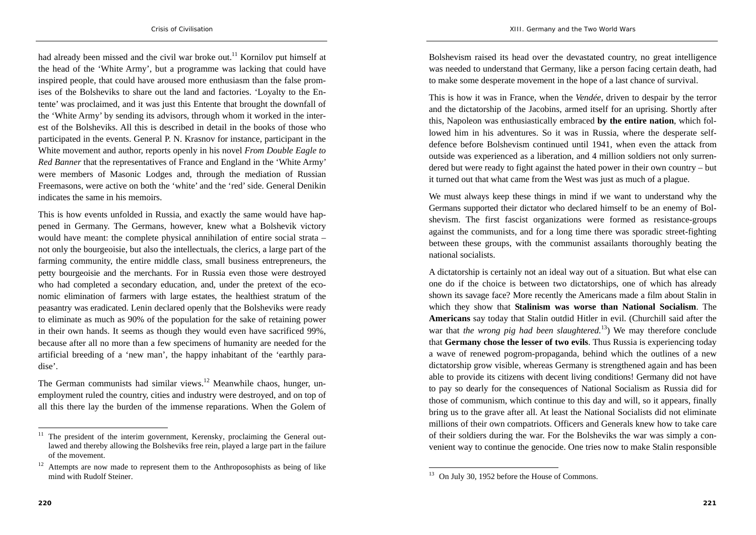had already been missed and the civil war broke out.<sup>11</sup> Kornilov put himself at the head of the 'White Army', but a programme was lacking that could have inspired people, that could have aroused more enthusiasm than the false promises of the Bolsheviks to share out the land and factories. 'Loyalty to the Entente' was proclaimed, and it was just this Entente that brought the downfall of the 'White Army' by sending its advisors, through whom it worked in the interest of the Bolsheviks. All this is described in detail in the books of those who participated in the events. General P. N. Krasnov for instance, participant in the White movement and author, reports openly in his novel *From Double Eagle to Red Banner* that the representatives of France and England in the 'White Army' were members of Masonic Lodges and, through the mediation of Russian Freemasons, were active on both the 'white' and the 'red' side. General Denikin indicates the same in his memoirs.

This is how events unfolded in Russia, and exactly the same would have happened in Germany. The Germans, however, knew what a Bolshevik victory would have meant: the complete physical annihilation of entire social strata – not only the bourgeoisie, but also the intellectuals, the clerics, a large part of the farming community, the entire middle class, small business entrepreneurs, the petty bourgeoisie and the merchants. For in Russia even those were destroyed who had completed a secondary education, and, under the pretext of the economic elimination of farmers with large estates, the healthiest stratum of the peasantry was eradicated. Lenin declared openly that the Bolsheviks were ready to eliminate as much as 90% of the population for the sake of retaining power in their own hands. It seems as though they would even have sacrificed 99%, because after all no more than a few specimens of humanity are needed for the artificial breeding of a 'new man', the happy inhabitant of the 'earthly paradise'.

The German communists had similar views.<sup>12</sup> Meanwhile chaos, hunger, unemployment ruled the country, cities and industry were destroyed, and on top of all this there lay the burden of the immense reparations. When the Golem of Bolshevism raised its head over the devastated country, no great intelligence was needed to understand that Germany, like a person facing certain death, had to make some desperate movement in the hope of a last chance of survival.

This is how it was in France, when the *Vendée*, driven to despair by the terror and the dictatorship of the Jacobins, armed itself for an uprising. Shortly after this, Napoleon was enthusiastically embraced **by the entire nation**, which followed him in his adventures. So it was in Russia, where the desperate selfdefence before Bolshevism continued until 1941, when even the attack from outside was experienced as a liberation, and 4 million soldiers not only surrendered but were ready to fight against the hated power in their own country – but it turned out that what came from the West was just as much of a plague.

We must always keep these things in mind if we want to understand why the Germans supported their dictator who declared himself to be an enemy of Bolshevism. The first fascist organizations were formed as resistance-groups against the communists, and for a long time there was sporadic street-fighting between these groups, with the communist assailants thoroughly beating the national socialists.

A dictatorship is certainly not an ideal way out of a situation. But what else can one do if the choice is between two dictatorships, one of which has already shown its savage face? More recently the Americans made a film about Stalin in which they show that **Stalinism was worse than National Socialism**. The **Americans** say today that Stalin outdid Hitler in evil. (Churchill said after the war that *the wrong pig had been slaughtered*.<sup>13</sup>) We may therefore conclude that **Germany chose the lesser of two evils**. Thus Russia is experiencing today a wave of renewed pogrom-propaganda, behind which the outlines of a new dictatorship grow visible, whereas Germany is strengthened again and has been able to provide its citizens with decent living conditions! Germany did not have to pay so dearly for the consequences of National Socialism as Russia did for those of communism, which continue to this day and will, so it appears, finally bring us to the grave after all. At least the National Socialists did not eliminate millions of their own compatriots. Officers and Generals knew how to take care of their soldiers during the war. For the Bolsheviks the war was simply a convenient way to continue the genocide. One tries now to make Stalin responsible

 $11$  The president of the interim government, Kerensky, proclaiming the General outlawed and thereby allowing the Bolsheviks free rein, played a large part in the failure of the movement.

 $12$  Attempts are now made to represent them to the Anthroposophists as being of like mind with Rudolf Steiner.

<sup>&</sup>lt;sup>13</sup> On July 30, 1952 before the House of Commons.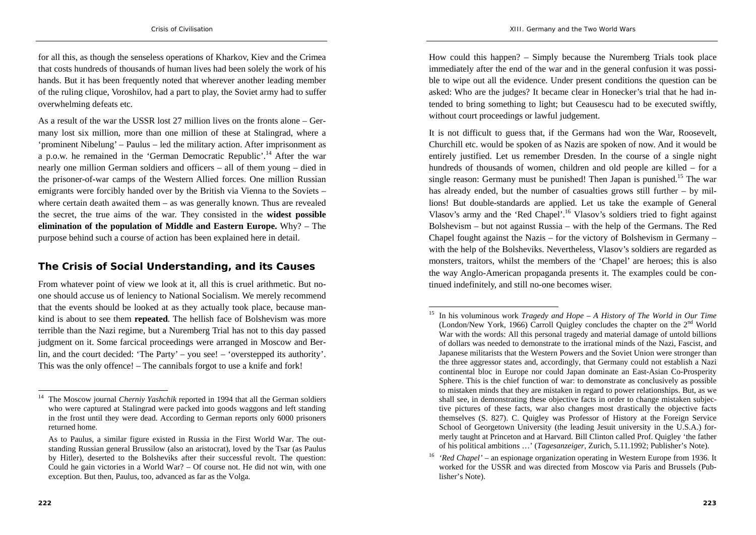for all this, as though the senseless operations of Kharkov, Kiev and the Crimea that costs hundreds of thousands of human lives had been solely the work of his hands. But it has been frequently noted that wherever another leading member of the ruling clique, Voroshilov, had a part to play, the Soviet army had to suffer overwhelming defeats etc.

As a result of the war the USSR lost 27 million lives on the fronts alone – Germany lost six million, more than one million of these at Stalingrad, where a 'prominent Nibelung' – Paulus – led the military action. After imprisonment as a p.o.w. he remained in the 'German Democratic Republic'.14 After the war nearly one million German soldiers and officers – all of them young – died in the prisoner-of-war camps of the Western Allied forces. One million Russian emigrants were forcibly handed over by the British via Vienna to the Soviets – where certain death awaited them – as was generally known. Thus are revealed the secret, the true aims of the war. They consisted in the **widest possible elimination of the population of Middle and Eastern Europe.** Why? – The purpose behind such a course of action has been explained here in detail.

#### **The Crisis of Social Understanding, and its Causes**

From whatever point of view we look at it, all this is cruel arithmetic. But noone should accuse us of leniency to National Socialism. We merely recommend that the events should be looked at as they actually took place, because mankind is about to see them **repeated**. The hellish face of Bolshevism was more terrible than the Nazi regime, but a Nuremberg Trial has not to this day passed judgment on it. Some farcical proceedings were arranged in Moscow and Berlin, and the court decided: 'The Party' – you see! – 'overstepped its authority'. This was the only offence! – The cannibals forgot to use a knife and fork!

How could this happen? – Simply because the Nuremberg Trials took place immediately after the end of the war and in the general confusion it was possible to wipe out all the evidence. Under present conditions the question can be asked: Who are the judges? It became clear in Honecker's trial that he had intended to bring something to light; but Ceausescu had to be executed swiftly, without court proceedings or lawful judgement.

It is not difficult to guess that, if the Germans had won the War, Roosevelt, Churchill etc. would be spoken of as Nazis are spoken of now. And it would be entirely justified. Let us remember Dresden. In the course of a single night hundreds of thousands of women, children and old people are killed – for a single reason: Germany must be punished! Then Japan is punished.<sup>15</sup> The war has already ended, but the number of casualties grows still further – by millions! But double-standards are applied. Let us take the example of General Vlasov's army and the 'Red Chapel'.16 Vlasov's soldiers tried to fight against Bolshevism – but not against Russia – with the help of the Germans. The Red Chapel fought against the Nazis – for the victory of Bolshevism in Germany – with the help of the Bolsheviks. Nevertheless, Vlasov's soldiers are regarded as monsters, traitors, whilst the members of the 'Chapel' are heroes; this is also the way Anglo-American propaganda presents it. The examples could be continued indefinitely, and still no-one becomes wiser.

<sup>14</sup> The Moscow journal *Cherniy Yashchik* reported in 1994 that all the German soldiers who were captured at Stalingrad were packed into goods waggons and left standing in the frost until they were dead. According to German reports only 6000 prisoners returned home.

As to Paulus, a similar figure existed in Russia in the First World War. The outstanding Russian general Brussilow (also an aristocrat), loved by the Tsar (as Paulus by Hitler), deserted to the Bolsheviks after their successful revolt. The question: Could he gain victories in a World War? – Of course not. He did not win, with one exception. But then, Paulus, too, advanced as far as the Volga.

<sup>15</sup> In his voluminous work *Tragedy and Hope – A History of The World in Our Time*  (London/New York, 1966) Carroll Quigley concludes the chapter on the 2nd World War with the words: All this personal tragedy and material damage of untold billions of dollars was needed to demonstrate to the irrational minds of the Nazi, Fascist, and Japanese militarists that the Western Powers and the Soviet Union were stronger than the three aggressor states and, accordingly, that Germany could not establish a Nazi continental bloc in Europe nor could Japan dominate an East-Asian Co-Prosperity Sphere. This is the chief function of war: to demonstrate as conclusively as possible to mistaken minds that they are mistaken in regard to power relationships. But, as we shall see, in demonstrating these objective facts in order to change mistaken subjective pictures of these facts, war also changes most drastically the objective facts themselves (S. 827). C. Quigley was Professor of History at the Foreign Service School of Georgetown University (the leading Jesuit university in the U.S.A.) formerly taught at Princeton and at Harvard. Bill Clinton called Prof. Quigley 'the father of his political ambitions …' (*Tagesanzeiger*, Zurich, 5.11.1992; Publisher's Note).

<sup>16</sup> *'Red Chapel' –* an espionage organization operating in Western Europe from 1936. It worked for the USSR and was directed from Moscow via Paris and Brussels (Publisher's Note).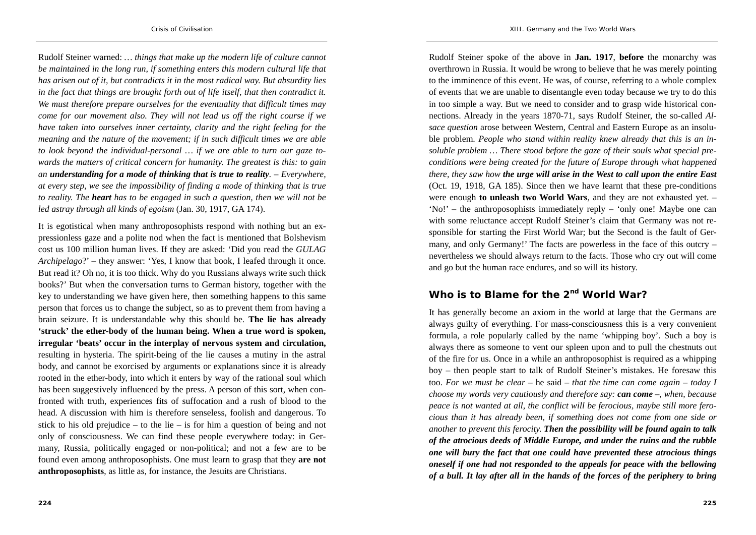Rudolf Steiner warned: *… things that make up the modern life of culture cannot be maintained in the long run, if something enters this modern cultural life that has arisen out of it, but contradicts it in the most radical way. But absurdity lies in the fact that things are brought forth out of life itself, that then contradict it. We must therefore prepare ourselves for the eventuality that difficult times may come for our movement also. They will not lead us off the right course if we have taken into ourselves inner certainty, clarity and the right feeling for the meaning and the nature of the movement; if in such difficult times we are able to look beyond the individual-personal … if we are able to turn our gaze towards the matters of critical concern for humanity. The greatest is this: to gain an understanding for a mode of thinking that is true to reality. – Everywhere, at every step, we see the impossibility of finding a mode of thinking that is true to reality. The heart has to be engaged in such a question, then we will not be led astray through all kinds of egoism* (Jan. 30, 1917, GA 174).

It is egotistical when many anthroposophists respond with nothing but an expressionless gaze and a polite nod when the fact is mentioned that Bolshevism cost us 100 million human lives. If they are asked: 'Did you read the *GULAG Archipelago*?' – they answer: 'Yes, I know that book, I leafed through it once. But read it? Oh no, it is too thick. Why do you Russians always write such thick books?' But when the conversation turns to German history, together with the key to understanding we have given here, then something happens to this same person that forces us to change the subject, so as to prevent them from having a brain seizure. It is understandable why this should be. **The lie has already 'struck' the ether-body of the human being. When a true word is spoken, irregular 'beats' occur in the interplay of nervous system and circulation,**  resulting in hysteria. The spirit-being of the lie causes a mutiny in the astral body, and cannot be exorcised by arguments or explanations since it is already rooted in the ether-body, into which it enters by way of the rational soul which has been suggestively influenced by the press. A person of this sort, when confronted with truth, experiences fits of suffocation and a rush of blood to the head. A discussion with him is therefore senseless, foolish and dangerous. To stick to his old prejudice – to the lie – is for him a question of being and not only of consciousness. We can find these people everywhere today: in Germany, Russia, politically engaged or non-political; and not a few are to be found even among anthroposophists. One must learn to grasp that they **are not anthroposophists**, as little as, for instance, the Jesuits are Christians.

Rudolf Steiner spoke of the above in **Jan. 1917**, **before** the monarchy was overthrown in Russia. It would be wrong to believe that he was merely pointing to the imminence of this event. He was, of course, referring to a whole complex of events that we are unable to disentangle even today because we try to do this in too simple a way. But we need to consider and to grasp wide historical connections. Already in the years 1870-71, says Rudolf Steiner, the so-called *Alsace question* arose between Western, Central and Eastern Europe as an insoluble problem. *People who stand within reality knew already that this is an insoluble problem … There stood before the gaze of their souls what special preconditions were being created for the future of Europe through what happened there, they saw how the urge will arise in the West to call upon the entire East* (Oct. 19, 1918, GA 185). Since then we have learnt that these pre-conditions were enough **to unleash two World Wars**, and they are not exhausted yet. – 'No!' – the anthroposophists immediately reply – 'only one! Maybe one can with some reluctance accept Rudolf Steiner's claim that Germany was not responsible for starting the First World War; but the Second is the fault of Germany, and only Germany!' The facts are powerless in the face of this outcry – nevertheless we should always return to the facts. Those who cry out will come and go but the human race endures, and so will its history.

### **Who is to Blame for the 2nd World War?**

It has generally become an axiom in the world at large that the Germans are always guilty of everything. For mass-consciousness this is a very convenient formula, a role popularly called by the name 'whipping boy'. Such a boy is always there as someone to vent our spleen upon and to pull the chestnuts out of the fire for us. Once in a while an anthroposophist is required as a whipping boy – then people start to talk of Rudolf Steiner's mistakes. He foresaw this too. *For we must be clear* – he said – *that the time can come again – today I choose my words very cautiously and therefore say: can come –, when, because peace is not wanted at all, the conflict will be ferocious, maybe still more ferocious than it has already been, if something does not come from one side or another to prevent this ferocity. Then the possibility will be found again to talk of the atrocious deeds of Middle Europe, and under the ruins and the rubble one will bury the fact that one could have prevented these atrocious things oneself if one had not responded to the appeals for peace with the bellowing of a bull. It lay after all in the hands of the forces of the periphery to bring*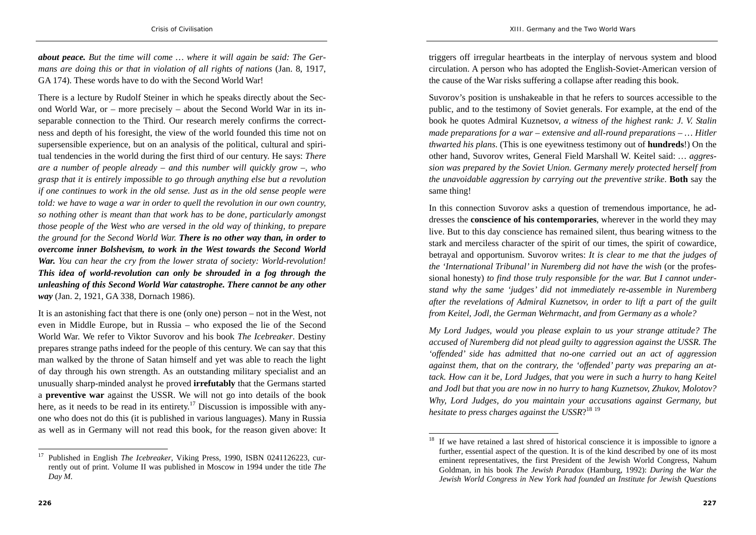*about peace. But the time will come … where it will again be said: The Germans are doing this or that in violation of all rights of nations* (Jan. 8, 1917, GA 174). These words have to do with the Second World War!

There is a lecture by Rudolf Steiner in which he speaks directly about the Second World War, or – more precisely – about the Second World War in its inseparable connection to the Third. Our research merely confirms the correctness and depth of his foresight, the view of the world founded this time not on supersensible experience, but on an analysis of the political, cultural and spiritual tendencies in the world during the first third of our century. He says: *There are a number of people already – and this number will quickly grow –, who grasp that it is entirely impossible to go through anything else but a revolution if one continues to work in the old sense. Just as in the old sense people were told: we have to wage a war in order to quell the revolution in our own country, so nothing other is meant than that work has to be done, particularly amongst those people of the West who are versed in the old way of thinking, to prepare the ground for the Second World War. There is no other way than, in order to overcome inner Bolshevism, to work in the West towards the Second World War. You can hear the cry from the lower strata of society: World-revolution! This idea of world-revolution can only be shrouded in a fog through the unleashing of this Second World War catastrophe. There cannot be any other way* (Jan. 2, 1921, GA 338, Dornach 1986).

It is an astonishing fact that there is one (only one) person – not in the West, not even in Middle Europe, but in Russia – who exposed the lie of the Second World War. We refer to Viktor Suvorov and his book *The Icebreaker*. Destiny prepares strange paths indeed for the people of this century. We can say that this man walked by the throne of Satan himself and yet was able to reach the light of day through his own strength. As an outstanding military specialist and an unusually sharp-minded analyst he proved **irrefutably** that the Germans started <sup>a</sup>**preventive war** against the USSR. We will not go into details of the book here, as it needs to be read in its entirety.<sup>17</sup> Discussion is impossible with anyone who does not do this (it is published in various languages). Many in Russia as well as in Germany will not read this book, for the reason given above: It

triggers off irregular heartbeats in the interplay of nervous system and blood circulation. A person who has adopted the English-Soviet-American version of the cause of the War risks suffering a collapse after reading this book.

Suvorov's position is unshakeable in that he refers to sources accessible to the public, and to the testimony of Soviet generals. For example, at the end of the book he quotes Admiral Kuznetsov, *a witness of the highest rank: J. V. Stalin made preparations for a war – extensive and all-round preparations – … Hitler thwarted his plans*. (This is one eyewitness testimony out of **hundreds**!) On the other hand, Suvorov writes, General Field Marshall W. Keitel said: *… aggression was prepared by the Soviet Union. Germany merely protected herself from the unavoidable aggression by carrying out the preventive strike*. **Both** say the same thing!

In this connection Suvorov asks a question of tremendous importance, he addresses the **conscience of his contemporaries**, wherever in the world they may live. But to this day conscience has remained silent, thus bearing witness to the stark and merciless character of the spirit of our times, the spirit of cowardice, betrayal and opportunism. Suvorov writes: *It is clear to me that the judges of the 'International Tribunal' in Nuremberg did not have the wish* (or the professional honesty) *to find those truly responsible for the war. But I cannot understand why the same 'judges' did not immediately re-assemble in Nuremberg after the revelations of Admiral Kuznetsov, in order to lift a part of the guilt from Keitel, Jodl, the German Wehrmacht, and from Germany as a whole?*

*My Lord Judges, would you please explain to us your strange attitude? The accused of Nuremberg did not plead guilty to aggression against the USSR. The 'offended' side has admitted that no-one carried out an act of aggression against them, that on the contrary, the 'offended' party was preparing an attack. How can it be, Lord Judges, that you were in such a hurry to hang Keitel and Jodl but that you are now in no hurry to hang Kuznetsov, Zhukov, Molotov? Why, Lord Judges, do you maintain your accusations against Germany, but hesitate to press charges against the USSR*?<sup>18</sup> <sup>19</sup>

<sup>17</sup> Published in English *The Icebreaker*, Viking Press, 1990, ISBN 0241126223, currently out of print. Volume II was published in Moscow in 1994 under the title *The Day M.*

<sup>18</sup> If we have retained a last shred of historical conscience it is impossible to ignore a further, essential aspect of the question. It is of the kind described by one of its most eminent representatives, the first President of the Jewish World Congress, Nahum Goldman, in his book *The Jewish Paradox* (Hamburg, 1992): *During the War the Jewish World Congress in New York had founded an Institute for Jewish Questions*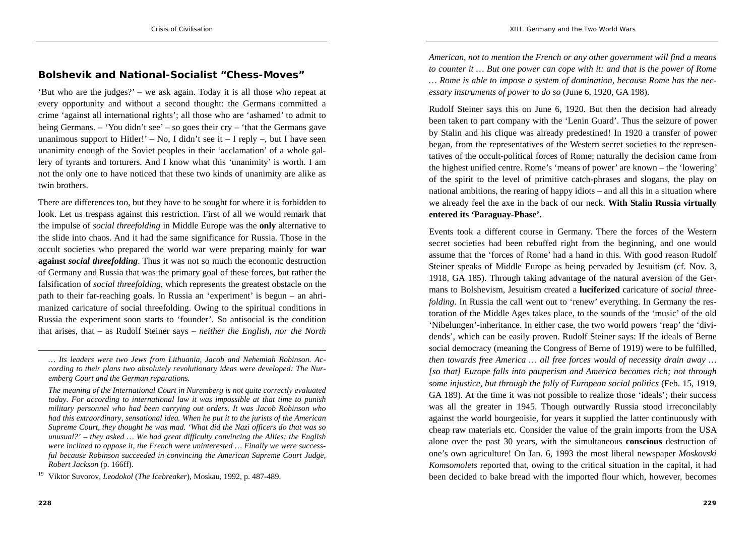#### **Bolshevik and National-Socialist "Chess-Moves"**

'But who are the judges?' – we ask again. Today it is all those who repeat at every opportunity and without a second thought: the Germans committed a crime 'against all international rights'; all those who are 'ashamed' to admit to being Germans. – 'You didn't see' – so goes their cry – 'that the Germans gave unanimous support to Hitler!' – No, I didn't see it – I reply –, but I have seen unanimity enough of the Soviet peoples in their 'acclamation' of a whole gallery of tyrants and torturers. And I know what this 'unanimity' is worth. I am not the only one to have noticed that these two kinds of unanimity are alike as twin brothers.

There are differences too, but they have to be sought for where it is forbidden to look. Let us trespass against this restriction. First of all we would remark that the impulse of *social threefolding* in Middle Europe was the **only** alternative to the slide into chaos. And it had the same significance for Russia. Those in the occult societies who prepared the world war were preparing mainly for **war against** *social threefolding*. Thus it was not so much the economic destruction of Germany and Russia that was the primary goal of these forces, but rather the falsification of *social threefolding*, which represents the greatest obstacle on the path to their far-reaching goals. In Russia an 'experiment' is begun – an ahrimanized caricature of social threefolding. Owing to the spiritual conditions in Russia the experiment soon starts to 'founder'. So antisocial is the condition that arises, that – as Rudolf Steiner says – *neither the English, nor the North* 

Rudolf Steiner says this on June 6, 1920. But then the decision had already been taken to part company with the 'Lenin Guard'. Thus the seizure of power by Stalin and his clique was already predestined! In 1920 a transfer of power began, from the representatives of the Western secret societies to the representatives of the occult-political forces of Rome; naturally the decision came from the highest unified centre. Rome's 'means of power' are known – the 'lowering' of the spirit to the level of primitive catch-phrases and slogans, the play on national ambitions, the rearing of happy idiots – and all this in a situation where we already feel the axe in the back of our neck. **With Stalin Russia virtually entered its 'Paraguay-Phase'.**

Events took a different course in Germany. There the forces of the Western secret societies had been rebuffed right from the beginning, and one would assume that the 'forces of Rome' had a hand in this. With good reason Rudolf Steiner speaks of Middle Europe as being pervaded by Jesuitism (cf. Nov. 3, 1918, GA 185). Through taking advantage of the natural aversion of the Germans to Bolshevism, Jesuitism created a **luciferized** caricature of *social threefolding*. In Russia the call went out to 'renew' everything. In Germany the restoration of the Middle Ages takes place, to the sounds of the 'music' of the old 'Nibelungen'-inheritance. In either case, the two world powers 'reap' the 'dividends', which can be easily proven. Rudolf Steiner says: If the ideals of Berne social democracy (meaning the Congress of Berne of 1919) were to be fulfilled, *then towards free America … all free forces would of necessity drain away … [so that] Europe falls into pauperism and America becomes rich; not through some injustice, but through the folly of European social politics* (Feb. 15, 1919, GA 189). At the time it was not possible to realize those 'ideals'; their success was all the greater in 1945. Though outwardly Russia stood irreconcilably against the world bourgeoisie, for years it supplied the latter continuously with cheap raw materials etc. Consider the value of the grain imports from the USA alone over the past 30 years, with the simultaneous **conscious** destruction of one's own agriculture! On Jan. 6, 1993 the most liberal newspaper *Moskovski Komsomolets* reported that, owing to the critical situation in the capital, it had been decided to bake bread with the imported flour which, however, becomes

*<sup>…</sup> Its leaders were two Jews from Lithuania, Jacob and Nehemiah Robinson. According to their plans two absolutely revolutionary ideas were developed: The Nuremberg Court and the German reparations.* 

*The meaning of the International Court in Nuremberg is not quite correctly evaluated today. For according to international law it was impossible at that time to punish military personnel who had been carrying out orders. It was Jacob Robinson who had this extraordinary, sensational idea. When he put it to the jurists of the American Supreme Court, they thought he was mad. 'What did the Nazi officers do that was so unusual?' – they asked … We had great difficulty convincing the Allies; the English were inclined to oppose it, the French were uninterested … Finally we were successful because Robinson succeeded in convincing the American Supreme Court Judge, Robert Jackson* (p. 166ff).

<sup>19</sup> Viktor Suvorov, *Leodokol* (*The Icebreaker*), Moskau, 1992, p. 487-489.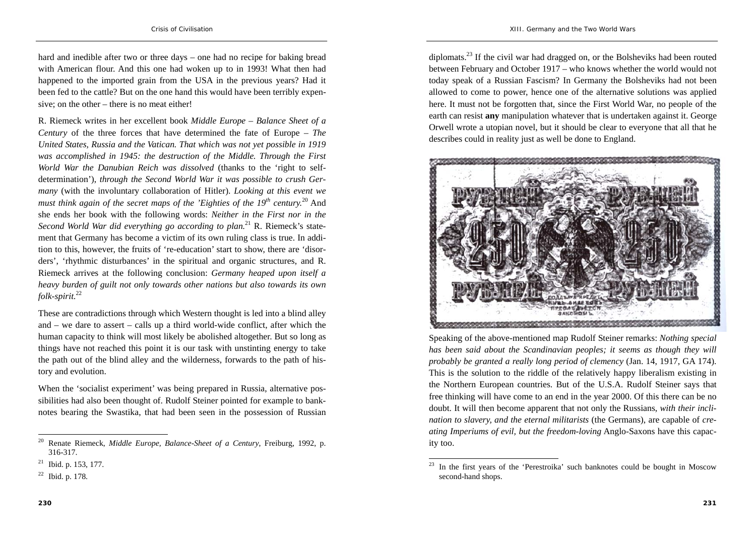hard and inedible after two or three days – one had no recipe for baking bread with American flour. And this one had woken up to in 1993! What then had happened to the imported grain from the USA in the previous years? Had it been fed to the cattle? But on the one hand this would have been terribly expensive; on the other – there is no meat either!

R. Riemeck writes in her excellent book *Middle Europe – Balance Sheet of a Century* of the three forces that have determined the fate of Europe – *The United States, Russia and the Vatican. That which was not yet possible in 1919 was accomplished in 1945: the destruction of the Middle. Through the First World War the Danubian Reich was dissolved* (thanks to the 'right to selfdetermination'), *through the Second World War it was possible to crush Germany* (with the involuntary collaboration of Hitler). *Looking at this event we must think again of the secret maps of the 'Eighties of the 19th century.*20 And she ends her book with the following words: *Neither in the First nor in the Second World War did everything go according to plan.*21 R. Riemeck's statement that Germany has become a victim of its own ruling class is true. In addition to this, however, the fruits of 're-education' start to show, there are 'disorders', 'rhythmic disturbances' in the spiritual and organic structures, and R. Riemeck arrives at the following conclusion: *Germany heaped upon itself a heavy burden of guilt not only towards other nations but also towards its own folk-spirit.*<sup>22</sup>

These are contradictions through which Western thought is led into a blind alley and – we dare to assert – calls up a third world-wide conflict, after which the human capacity to think will most likely be abolished altogether. But so long as things have not reached this point it is our task with unstinting energy to take the path out of the blind alley and the wilderness, forwards to the path of history and evolution.

When the 'socialist experiment' was being prepared in Russia, alternative possibilities had also been thought of. Rudolf Steiner pointed for example to banknotes bearing the Swastika, that had been seen in the possession of Russian diplomats.23 If the civil war had dragged on, or the Bolsheviks had been routed between February and October 1917 – who knows whether the world would not today speak of a Russian Fascism? In Germany the Bolsheviks had not been allowed to come to power, hence one of the alternative solutions was applied here. It must not be forgotten that, since the First World War, no people of the earth can resist **any** manipulation whatever that is undertaken against it. George Orwell wrote a utopian novel, but it should be clear to everyone that all that he describes could in reality just as well be done to England.



Speaking of the above-mentioned map Rudolf Steiner remarks: *Nothing special has been said about the Scandinavian peoples; it seems as though they will probably be granted a really long period of clemency* (Jan. 14, 1917, GA 174). This is the solution to the riddle of the relatively happy liberalism existing in the Northern European countries. But of the U.S.A. Rudolf Steiner says that free thinking will have come to an end in the year 2000. Of this there can be no doubt. It will then become apparent that not only the Russians, *with their inclination to slavery, and the eternal militarists* (the Germans), are capable of *creating Imperiums of evil, but the freedom-loving* Anglo-Saxons have this capacity too.

<sup>20</sup> Renate Riemeck, *Middle Europe, Balance-Sheet of a Century*, Freiburg, 1992, p. 316-317.

 $21$  Ibid. p. 153, 177.

<sup>22</sup> Ibid. p. 178.

In the first years of the 'Perestroika' such banknotes could be bought in Moscow second-hand shops.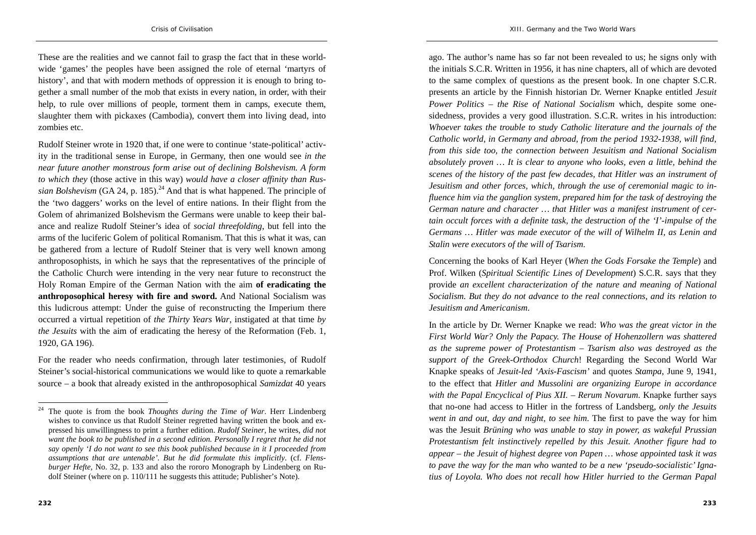These are the realities and we cannot fail to grasp the fact that in these worldwide 'games' the peoples have been assigned the role of eternal 'martyrs of history', and that with modern methods of oppression it is enough to bring together a small number of the mob that exists in every nation, in order, with their help, to rule over millions of people, torment them in camps, execute them, slaughter them with pickaxes (Cambodia), convert them into living dead, into zombies etc.

Rudolf Steiner wrote in 1920 that, if one were to continue 'state-political' activity in the traditional sense in Europe, in Germany, then one would see *in the near future another monstrous form arise out of declining Bolshevism. A form to which they* (those active in this way) *would have a closer affinity than Russian Bolshevism* (GA 24, p. 185).<sup>24</sup> And that is what happened. The principle of the 'two daggers' works on the level of entire nations. In their flight from the Golem of ahrimanized Bolshevism the Germans were unable to keep their balance and realize Rudolf Steiner's idea of *social threefolding*, but fell into the arms of the luciferic Golem of political Romanism. That this is what it was, can be gathered from a lecture of Rudolf Steiner that is very well known among anthroposophists, in which he says that the representatives of the principle of the Catholic Church were intending in the very near future to reconstruct the Holy Roman Empire of the German Nation with the aim **of eradicating the anthroposophical heresy with fire and sword.** And National Socialism was this ludicrous attempt: Under the guise of reconstructing the Imperium there occurred a virtual repetition of *the Thirty Years War*, instigated at that time *by the Jesuits* with the aim of eradicating the heresy of the Reformation (Feb. 1, 1920, GA 196).

For the reader who needs confirmation, through later testimonies, of Rudolf Steiner's social-historical communications we would like to quote a remarkable source – a book that already existed in the anthroposophical *Samizdat* 40 years

ago. The author's name has so far not been revealed to us; he signs only with the initials S.C.R. Written in 1956, it has nine chapters, all of which are devoted to the same complex of questions as the present book. In one chapter S.C.R. presents an article by the Finnish historian Dr. Werner Knapke entitled *Jesuit Power Politics – the Rise of National Socialism* which, despite some onesidedness, provides a very good illustration. S.C.R. writes in his introduction: *Whoever takes the trouble to study Catholic literature and the journals of the Catholic world, in Germany and abroad, from the period 1932-1938, will find, from this side too, the connection between Jesuitism and National Socialism absolutely proven … It is clear to anyone who looks, even a little, behind the scenes of the history of the past few decades, that Hitler was an instrument of Jesuitism and other forces, which, through the use of ceremonial magic to influence him via the ganglion system, prepared him for the task of destroying the German nature and character … that Hitler was a manifest instrument of certain occult forces with a definite task, the destruction of the 'I'-impulse of the Germans … Hitler was made executor of the will of Wilhelm II, as Lenin and Stalin were executors of the will of Tsarism*.

Concerning the books of Karl Heyer (*When the Gods Forsake the Temple*) and Prof. Wilken (*Spiritual Scientific Lines of Development*) S.C.R. says that they provide *an excellent characterization of the nature and meaning of National Socialism. But they do not advance to the real connections, and its relation to Jesuitism and Americanism*.

In the article by Dr. Werner Knapke we read: *Who was the great victor in the First World War? Only the Papacy. The House of Hohenzollern was shattered as the supreme power of Protestantism – Tsarism also was destroyed as the support of the Greek-Orthodox Church*! Regarding the Second World War Knapke speaks of *Jesuit-led 'Axis-Fascism'* and quotes *Stampa*, June 9, 1941, to the effect that *Hitler and Mussolini are organizing Europe in accordance with the Papal Encyclical of Pius XII. – Rerum Novarum*. Knapke further says that no-one had access to Hitler in the fortress of Landsberg, *only the Jesuits went in and out, day and night, to see him*. The first to pave the way for him was the Jesuit *Brüning who was unable to stay in power, as wakeful Prussian Protestantism felt instinctively repelled by this Jesuit. Another figure had to appear – the Jesuit of highest degree von Papen … whose appointed task it was to pave the way for the man who wanted to be a new 'pseudo-socialistic' Ignatius of Loyola. Who does not recall how Hitler hurried to the German Papal* 

<sup>24</sup> The quote is from the book *Thoughts during the Time of War*. Herr Lindenberg wishes to convince us that Rudolf Steiner regretted having written the book and expressed his unwillingness to print a further edition. *Rudolf Steiner*, he writes, *did not want the book to be published in a second edition. Personally I regret that he did not say openly 'I do not want to see this book published because in it I proceeded from assumptions that are untenable'. But he did formulate this implicitly*. (cf. *Flensburger Hefte*, No. 32, p. 133 and also the rororo Monograph by Lindenberg on Rudolf Steiner (where on p. 110/111 he suggests this attitude; Publisher's Note).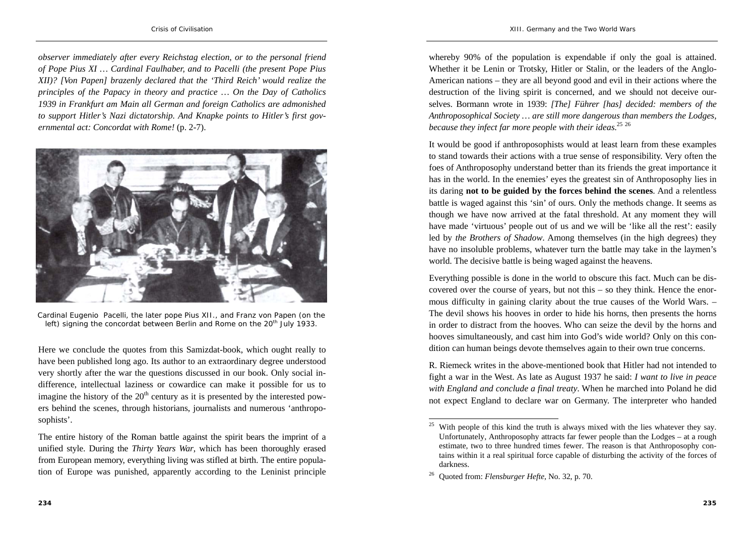*observer immediately after every Reichstag election, or to the personal friend of Pope Pius XI … Cardinal Faulhaber, and to Pacelli (the present Pope Pius XII)? [Von Papen] brazenly declared that the 'Third Reich' would realize the principles of the Papacy in theory and practice … On the Day of Catholics 1939 in Frankfurt am Main all German and foreign Catholics are admonished to support Hitler's Nazi dictatorship. And Knapke points to Hitler's first governmental act: Concordat with Rome!* (p. 2-7).



Cardinal Eugenio Pacelli, the later pope Pius XII., and Franz von Papen (on the left) signing the concordat between Berlin and Rome on the  $20<sup>th</sup>$  July 1933.

Here we conclude the quotes from this Samizdat-book, which ought really to have been published long ago. Its author to an extraordinary degree understood very shortly after the war the questions discussed in our book. Only social indifference, intellectual laziness or cowardice can make it possible for us to imagine the history of the  $20<sup>th</sup>$  century as it is presented by the interested powers behind the scenes, through historians, journalists and numerous 'anthroposophists'.

whereby 90% of the population is expendable if only the goal is attained. Whether it be Lenin or Trotsky, Hitler or Stalin, or the leaders of the Anglo-American nations – they are all beyond good and evil in their actions where the destruction of the living spirit is concerned, and we should not deceive ourselves. Bormann wrote in 1939: *[The] Führer [has] decided: members of the Anthroposophical Society … are still more dangerous than members the Lodges, because they infect far more people with their ideas*.<sup>25</sup> <sup>26</sup>

It would be good if anthroposophists would at least learn from these examples to stand towards their actions with a true sense of responsibility. Very often the foes of Anthroposophy understand better than its friends the great importance it has in the world. In the enemies' eyes the greatest sin of Anthroposophy lies in its daring **not to be guided by the forces behind the scenes**. And a relentless battle is waged against this 'sin' of ours. Only the methods change. It seems as though we have now arrived at the fatal threshold. At any moment they will have made 'virtuous' people out of us and we will be 'like all the rest': easily led by *the Brothers of Shadow*. Among themselves (in the high degrees) they have no insoluble problems, whatever turn the battle may take in the laymen's world. The decisive battle is being waged against the heavens.

Everything possible is done in the world to obscure this fact. Much can be discovered over the course of years, but not this – so they think. Hence the enormous difficulty in gaining clarity about the true causes of the World Wars. – The devil shows his hooves in order to hide his horns, then presents the horns in order to distract from the hooves. Who can seize the devil by the horns and hooves simultaneously, and cast him into God's wide world? Only on this condition can human beings devote themselves again to their own true concerns.

R. Riemeck writes in the above-mentioned book that Hitler had not intended to fight a war in the West. As late as August 1937 he said: *I want to live in peace with England and conclude a final treaty*. When he marched into Poland he did not expect England to declare war on Germany. The interpreter who handed

The entire history of the Roman battle against the spirit bears the imprint of a unified style. During the *Thirty Years War*, which has been thoroughly erased from European memory, everything living was stifled at birth. The entire population of Europe was punished, apparently according to the Leninist principle

<sup>&</sup>lt;sup>25</sup> With people of this kind the truth is always mixed with the lies whatever they say. Unfortunately, Anthroposophy attracts far fewer people than the Lodges – at a rough estimate, two to three hundred times fewer. The reason is that Anthroposophy contains within it a real spiritual force capable of disturbing the activity of the forces of darkness.

<sup>26</sup> Quoted from: *Flensburger Hefte*, No. 32, p. 70.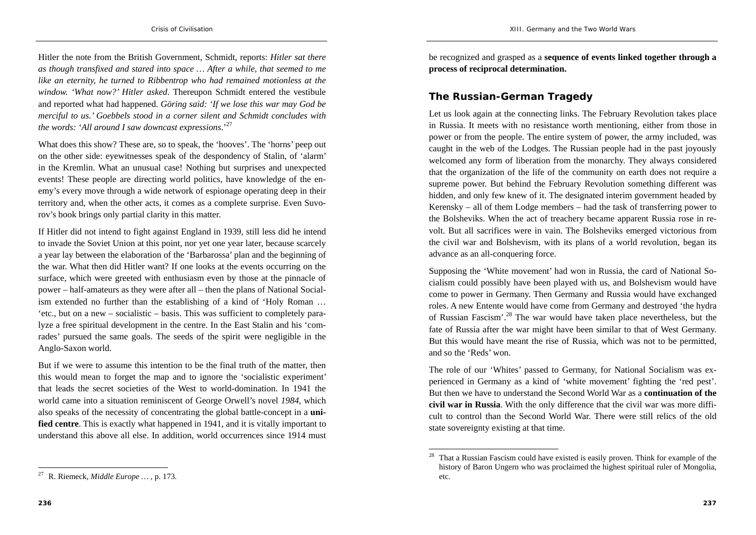Hitler the note from the British Government, Schmidt, reports: *Hitler sat there as though transfixed and stared into space … After a while, that seemed to me like an eternity, he turned to Ribbentrop who had remained motionless at the window. 'What now?' Hitler asked*. Thereupon Schmidt entered the vestibule and reported what had happened. *Göring said: 'If we lose this war may God be merciful to us.' Goebbels stood in a corner silent and Schmidt concludes with the words: 'All around I saw downcast expressions*.'27

What does this show? These are, so to speak, the 'hooves'. The 'horns' peep out on the other side: eyewitnesses speak of the despondency of Stalin, of 'alarm' in the Kremlin. What an unusual case! Nothing but surprises and unexpected events! These people are directing world politics, have knowledge of the enemy's every move through a wide network of espionage operating deep in their territory and, when the other acts, it comes as a complete surprise. Even Suvorov's book brings only partial clarity in this matter.

If Hitler did not intend to fight against England in 1939, still less did he intend to invade the Soviet Union at this point, nor yet one year later, because scarcely a year lay between the elaboration of the 'Barbarossa' plan and the beginning of the war. What then did Hitler want? If one looks at the events occurring on the surface, which were greeted with enthusiasm even by those at the pinnacle of power – half-amateurs as they were after all – then the plans of National Socialism extended no further than the establishing of a kind of 'Holy Roman … 'etc., but on a new – socialistic – basis. This was sufficient to completely paralyze a free spiritual development in the centre. In the East Stalin and his 'comrades' pursued the same goals. The seeds of the spirit were negligible in the Anglo-Saxon world.

But if we were to assume this intention to be the final truth of the matter, then this would mean to forget the map and to ignore the 'socialistic experiment' that leads the secret societies of the West to world-domination. In 1941 the world came into a situation reminiscent of George Orwell's novel *1984*, which also speaks of the necessity of concentrating the global battle-concept in a **unified centre**. This is exactly what happened in 1941, and it is vitally important to understand this above all else. In addition, world occurrences since 1914 must

be recognized and grasped as a **sequence of events linked together through a process of reciprocal determination.** 

### **The Russian-German Tragedy**

Let us look again at the connecting links. The February Revolution takes place in Russia. It meets with no resistance worth mentioning, either from those in power or from the people. The entire system of power, the army included, was caught in the web of the Lodges. The Russian people had in the past joyously welcomed any form of liberation from the monarchy. They always considered that the organization of the life of the community on earth does not require a supreme power. But behind the February Revolution something different was hidden, and only few knew of it. The designated interim government headed by Kerensky – all of them Lodge members – had the task of transferring power to the Bolsheviks. When the act of treachery became apparent Russia rose in revolt. But all sacrifices were in vain. The Bolsheviks emerged victorious from the civil war and Bolshevism, with its plans of a world revolution, began its advance as an all-conquering force.

Supposing the 'White movement' had won in Russia, the card of National Socialism could possibly have been played with us, and Bolshevism would have come to power in Germany. Then Germany and Russia would have exchanged roles. A new Entente would have come from Germany and destroyed 'the hydra of Russian Fascism'.28 The war would have taken place nevertheless, but the fate of Russia after the war might have been similar to that of West Germany. But this would have meant the rise of Russia, which was not to be permitted, and so the 'Reds' won.

The role of our 'Whites' passed to Germany, for National Socialism was experienced in Germany as a kind of 'white movement' fighting the 'red pest'. But then we have to understand the Second World War as a **continuation of the civil war in Russia**. With the only difference that the civil war was more difficult to control than the Second World War. There were still relics of the old state sovereignty existing at that time.

<sup>27</sup> R. Riemeck, *Middle Europe …* , p. 173.

That a Russian Fascism could have existed is easily proven. Think for example of the history of Baron Ungern who was proclaimed the highest spiritual ruler of Mongolia, etc.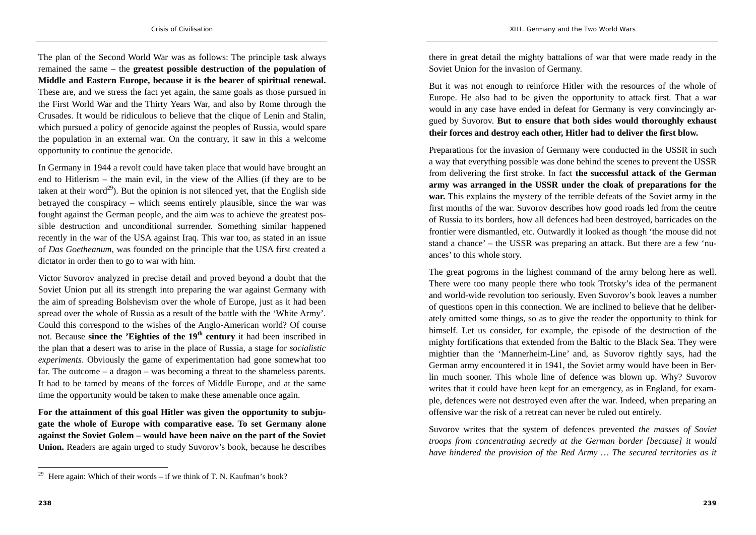The plan of the Second World War was as follows: The principle task always remained the same – the **greatest possible destruction of the population of Middle and Eastern Europe, because it is the bearer of spiritual renewal.** These are, and we stress the fact yet again, the same goals as those pursued in the First World War and the Thirty Years War, and also by Rome through the Crusades. It would be ridiculous to believe that the clique of Lenin and Stalin, which pursued a policy of genocide against the peoples of Russia, would spare the population in an external war. On the contrary, it saw in this a welcome opportunity to continue the genocide.

In Germany in 1944 a revolt could have taken place that would have brought an end to Hitlerism – the main evil, in the view of the Allies (if they are to be taken at their word<sup>29</sup>). But the opinion is not silenced yet, that the English side betrayed the conspiracy – which seems entirely plausible, since the war was fought against the German people, and the aim was to achieve the greatest possible destruction and unconditional surrender. Something similar happened recently in the war of the USA against Iraq. This war too, as stated in an issue of *Das Goetheanum*, was founded on the principle that the USA first created a dictator in order then to go to war with him.

Victor Suvorov analyzed in precise detail and proved beyond a doubt that the Soviet Union put all its strength into preparing the war against Germany with the aim of spreading Bolshevism over the whole of Europe, just as it had been spread over the whole of Russia as a result of the battle with the 'White Army'. Could this correspond to the wishes of the Anglo-American world? Of course not. Because **since the 'Eighties of the 19th century** it had been inscribed in the plan that a desert was to arise in the place of Russia, a stage for *socialistic experiments*. Obviously the game of experimentation had gone somewhat too far. The outcome – a dragon – was becoming a threat to the shameless parents. It had to be tamed by means of the forces of Middle Europe, and at the same time the opportunity would be taken to make these amenable once again.

**For the attainment of this goal Hitler was given the opportunity to subjugate the whole of Europe with comparative ease. To set Germany alone against the Soviet Golem – would have been naive on the part of the Soviet Union.** Readers are again urged to study Suvorov's book, because he describes there in great detail the mighty battalions of war that were made ready in the Soviet Union for the invasion of Germany.

But it was not enough to reinforce Hitler with the resources of the whole of Europe. He also had to be given the opportunity to attack first. That a war would in any case have ended in defeat for Germany is very convincingly argued by Suvorov. **But to ensure that both sides would thoroughly exhaust their forces and destroy each other, Hitler had to deliver the first blow.**

Preparations for the invasion of Germany were conducted in the USSR in such a way that everything possible was done behind the scenes to prevent the USSR from delivering the first stroke. In fact **the successful attack of the German army was arranged in the USSR under the cloak of preparations for the war.** This explains the mystery of the terrible defeats of the Soviet army in the first months of the war. Suvorov describes how good roads led from the centre of Russia to its borders, how all defences had been destroyed, barricades on the frontier were dismantled, etc. Outwardly it looked as though 'the mouse did not stand a chance' – the USSR was preparing an attack. But there are a few 'nuances' to this whole story.

The great pogroms in the highest command of the army belong here as well. There were too many people there who took Trotsky's idea of the permanent and world-wide revolution too seriously. Even Suvorov's book leaves a number of questions open in this connection. We are inclined to believe that he deliberately omitted some things, so as to give the reader the opportunity to think for himself. Let us consider, for example, the episode of the destruction of the mighty fortifications that extended from the Baltic to the Black Sea. They were mightier than the 'Mannerheim-Line' and, as Suvorov rightly says, had the German army encountered it in 1941, the Soviet army would have been in Berlin much sooner. This whole line of defence was blown up. Why? Suvorov writes that it could have been kept for an emergency, as in England, for example, defences were not destroyed even after the war. Indeed, when preparing an offensive war the risk of a retreat can never be ruled out entirely.

Suvorov writes that the system of defences prevented *the masses of Soviet troops from concentrating secretly at the German border [because] it would have hindered the provision of the Red Army … The secured territories as it* 

<sup>&</sup>lt;sup>29</sup> Here again: Which of their words – if we think of T. N. Kaufman's book?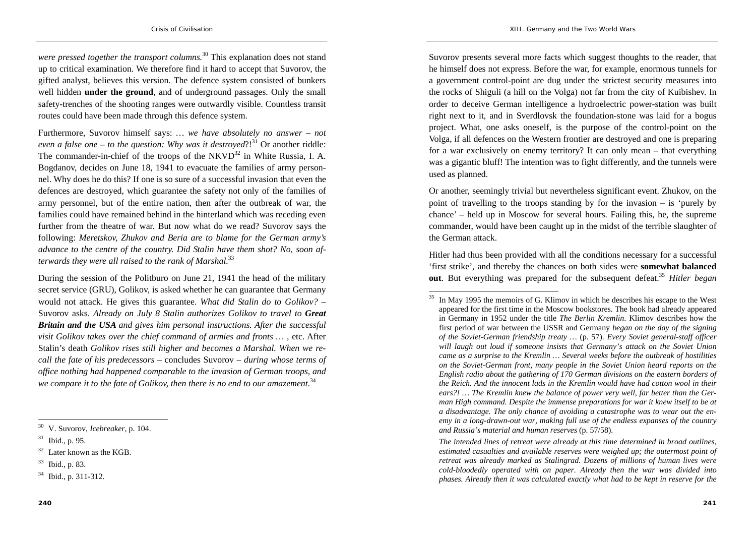*were pressed together the transport columns.*30 This explanation does not stand up to critical examination. We therefore find it hard to accept that Suvorov, the gifted analyst, believes this version. The defence system consisted of bunkers well hidden **under the ground**, and of underground passages. Only the small safety-trenches of the shooting ranges were outwardly visible. Countless transit routes could have been made through this defence system.

Furthermore, Suvorov himself says: *… we have absolutely no answer – not even a false one – to the question: Why was it destroyed*?!<sup>31</sup> Or another riddle: The commander-in-chief of the troops of the  $NKVD^{32}$  in White Russia, I. A. Bogdanov, decides on June 18, 1941 to evacuate the families of army personnel. Why does he do this? If one is so sure of a successful invasion that even the defences are destroyed, which guarantee the safety not only of the families of army personnel, but of the entire nation, then after the outbreak of war, the families could have remained behind in the hinterland which was receding even further from the theatre of war. But now what do we read? Suvorov says the following: *Meretskov, Zhukov and Beria are to blame for the German army's advance to the centre of the country. Did Stalin have them shot? No, soon afterwards they were all raised to the rank of Marshal.*<sup>33</sup>

During the session of the Politburo on June 21, 1941 the head of the military secret service (GRU), Golikov, is asked whether he can guarantee that Germany would not attack. He gives this guarantee. *What did Stalin do to Golikov?* – Suvorov asks. *Already on July 8 Stalin authorizes Golikov to travel to Great Britain and the USA and gives him personal instructions. After the successful visit Golikov takes over the chief command of armies and fronts … ,* etc. After Stalin's death *Golikov rises still higher and becomes a Marshal. When we recall the fate of his predecessors* – concludes Suvorov – *during whose terms of office nothing had happened comparable to the invasion of German troops, and*  we compare it to the fate of Golikov, then there is no end to our amazement.<sup>34</sup>

Suvorov presents several more facts which suggest thoughts to the reader, that he himself does not express. Before the war, for example, enormous tunnels for a government control-point are dug under the strictest security measures into the rocks of Shiguli (a hill on the Volga) not far from the city of Kuibishev. In order to deceive German intelligence a hydroelectric power-station was built right next to it, and in Sverdlovsk the foundation-stone was laid for a bogus project. What, one asks oneself, is the purpose of the control-point on the Volga, if all defences on the Western frontier are destroyed and one is preparing for a war exclusively on enemy territory? It can only mean – that everything was a gigantic bluff! The intention was to fight differently, and the tunnels were used as planned.

Or another, seemingly trivial but nevertheless significant event. Zhukov, on the point of travelling to the troops standing by for the invasion – is 'purely by chance' – held up in Moscow for several hours. Failing this, he, the supreme commander, would have been caught up in the midst of the terrible slaughter of the German attack.

Hitler had thus been provided with all the conditions necessary for a successful 'first strike', and thereby the chances on both sides were **somewhat balanced out**. But everything was prepared for the subsequent defeat.<sup>35</sup> *Hitler began* 

*The intended lines of retreat were already at this time determined in broad outlines, estimated casualties and available reserves were weighed up; the outermost point of retreat was already marked as Stalingrad. Dozens of millions of human lives were cold-bloodedly operated with on paper. Already then the war was divided into phases. Already then it was calculated exactly what had to be kept in reserve for the* 

<sup>30</sup> V. Suvorov, *Icebreaker*, p. 104.

<sup>31</sup> Ibid., p. 95.

 $32$  Later known as the KGB.

<sup>33</sup> Ibid., p. 83.

<sup>34</sup> Ibid., p. 311-312.

 $35$  In May 1995 the memoirs of G. Klimov in which he describes his escape to the West appeared for the first time in the Moscow bookstores. The book had already appeared in Germany in 1952 under the title *The Berlin Kremlin*. Klimov describes how the first period of war between the USSR and Germany *began on the day of the signing of the Soviet-German friendship treaty …* (p. 57). *Every Soviet general-staff officer will laugh out loud if someone insists that Germany's attack on the Soviet Union came as a surprise to the Kremlin … Several weeks before the outbreak of hostilities on the Soviet-German front, many people in the Soviet Union heard reports on the English radio about the gathering of 170 German divisions on the eastern borders of the Reich. And the innocent lads in the Kremlin would have had cotton wool in their ears?! … The Kremlin knew the balance of power very well, far better than the German High command. Despite the immense preparations for war it knew itself to be at a disadvantage. The only chance of avoiding a catastrophe was to wear out the enemy in a long-drawn-out war, making full use of the endless expanses of the country and Russia's material and human reserves* (p. 57/58).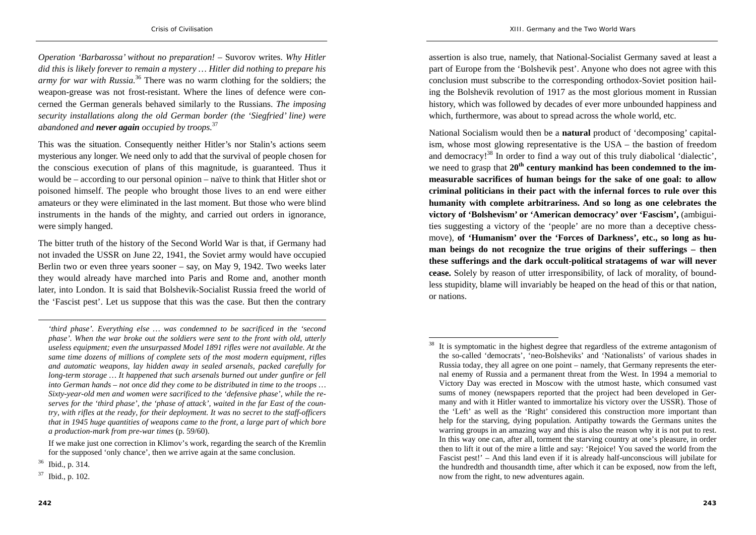*Operation 'Barbarossa' without no preparation!* – Suvorov writes. *Why Hitler did this is likely forever to remain a mystery … Hitler did nothing to prepare his army for war with Russia.*36 There was no warm clothing for the soldiers; the weapon-grease was not frost-resistant. Where the lines of defence were concerned the German generals behaved similarly to the Russians. *The imposing security installations along the old German border (the 'Siegfried' line) were abandoned and never again occupied by troops.*<sup>37</sup>

This was the situation. Consequently neither Hitler's nor Stalin's actions seem mysterious any longer. We need only to add that the survival of people chosen for the conscious execution of plans of this magnitude, is guaranteed. Thus it would be – according to our personal opinion – naïve to think that Hitler shot or poisoned himself. The people who brought those lives to an end were either amateurs or they were eliminated in the last moment. But those who were blind instruments in the hands of the mighty, and carried out orders in ignorance, were simply hanged.

The bitter truth of the history of the Second World War is that, if Germany had not invaded the USSR on June 22, 1941, the Soviet army would have occupied Berlin two or even three years sooner – say, on May 9, 1942. Two weeks later they would already have marched into Paris and Rome and, another month later, into London. It is said that Bolshevik-Socialist Russia freed the world of the 'Fascist pest'. Let us suppose that this was the case. But then the contrary

assertion is also true, namely, that National-Socialist Germany saved at least a part of Europe from the 'Bolshevik pest'. Anyone who does not agree with this conclusion must subscribe to the corresponding orthodox-Soviet position hailing the Bolshevik revolution of 1917 as the most glorious moment in Russian history, which was followed by decades of ever more unbounded happiness and which, furthermore, was about to spread across the whole world, etc.

National Socialism would then be a **natural** product of 'decomposing' capitalism, whose most glowing representative is the USA – the bastion of freedom and democracy!<sup>38</sup> In order to find a way out of this truly diabolical 'dialectic', we need to grasp that **20th century mankind has been condemned to the immeasurable sacrifices of human beings for the sake of one goal: to allow criminal politicians in their pact with the infernal forces to rule over this humanity with complete arbitrariness. And so long as one celebrates the victory of 'Bolshevism' or 'American democracy' over 'Fascism',** (ambiguities suggesting a victory of the 'people' are no more than a deceptive chessmove), **of 'Humanism' over the 'Forces of Darkness', etc., so long as human beings do not recognize the true origins of their sufferings – then these sufferings and the dark occult-political stratagems of war will never cease.** Solely by reason of utter irresponsibility, of lack of morality, of boundless stupidity, blame will invariably be heaped on the head of this or that nation, or nations.

*<sup>&#</sup>x27;third phase'. Everything else … was condemned to be sacrificed in the 'second phase'. When the war broke out the soldiers were sent to the front with old, utterly useless equipment; even the unsurpassed Model 1891 rifles were not available. At the same time dozens of millions of complete sets of the most modern equipment, rifles and automatic weapons, lay hidden away in sealed arsenals, packed carefully for long-term storage … It happened that such arsenals burned out under gunfire or fell into German hands – not once did they come to be distributed in time to the troops … Sixty-year-old men and women were sacrificed to the 'defensive phase', while the reserves for the 'third phase', the 'phase of attack', waited in the far East of the country, with rifles at the ready, for their deployment. It was no secret to the staff-officers that in 1945 huge quantities of weapons came to the front, a large part of which bore a production-mark from pre-war times* (p. 59/60).

If we make just one correction in Klimov's work, regarding the search of the Kremlin for the supposed 'only chance', then we arrive again at the same conclusion.

 $36$  Ibid., p. 314.

 $37$  Ibid., p. 102.

<sup>&</sup>lt;sup>38</sup> It is symptomatic in the highest degree that regardless of the extreme antagonism of the so-called 'democrats', 'neo-Bolsheviks' and 'Nationalists' of various shades in Russia today, they all agree on one point – namely, that Germany represents the eternal enemy of Russia and a permanent threat from the West. In 1994 a memorial to Victory Day was erected in Moscow with the utmost haste, which consumed vast sums of money (newspapers reported that the project had been developed in Germany and with it Hitler wanted to immortalize his victory over the USSR). Those of the 'Left' as well as the 'Right' considered this construction more important than help for the starving, dying population. Antipathy towards the Germans unites the warring groups in an amazing way and this is also the reason why it is not put to rest. In this way one can, after all, torment the starving country at one's pleasure, in order then to lift it out of the mire a little and say: 'Rejoice! You saved the world from the Fascist pest!' – And this land even if it is already half-unconscious will jubilate for the hundredth and thousandth time, after which it can be exposed, now from the left, now from the right, to new adventures again.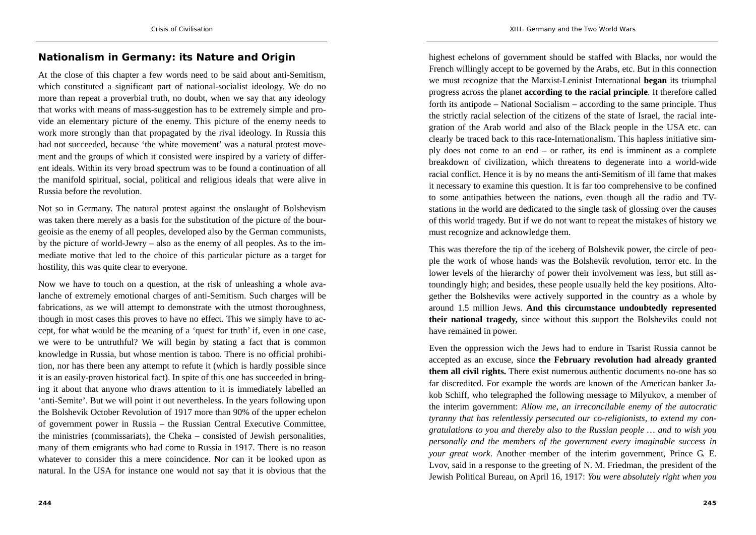#### **Nationalism in Germany: its Nature and Origin**

At the close of this chapter a few words need to be said about anti-Semitism, which constituted a significant part of national-socialist ideology. We do no more than repeat a proverbial truth, no doubt, when we say that any ideology that works with means of mass-suggestion has to be extremely simple and provide an elementary picture of the enemy. This picture of the enemy needs to work more strongly than that propagated by the rival ideology. In Russia this had not succeeded, because 'the white movement' was a natural protest movement and the groups of which it consisted were inspired by a variety of different ideals. Within its very broad spectrum was to be found a continuation of all the manifold spiritual, social, political and religious ideals that were alive in Russia before the revolution.

Not so in Germany. The natural protest against the onslaught of Bolshevism was taken there merely as a basis for the substitution of the picture of the bourgeoisie as the enemy of all peoples, developed also by the German communists, by the picture of world-Jewry – also as the enemy of all peoples. As to the immediate motive that led to the choice of this particular picture as a target for hostility, this was quite clear to everyone.

Now we have to touch on a question, at the risk of unleashing a whole avalanche of extremely emotional charges of anti-Semitism. Such charges will be fabrications, as we will attempt to demonstrate with the utmost thoroughness, though in most cases this proves to have no effect. This we simply have to accept, for what would be the meaning of a 'quest for truth' if, even in one case, we were to be untruthful? We will begin by stating a fact that is common knowledge in Russia, but whose mention is taboo. There is no official prohibition, nor has there been any attempt to refute it (which is hardly possible since it is an easily-proven historical fact). In spite of this one has succeeded in bringing it about that anyone who draws attention to it is immediately labelled an 'anti-Semite'. But we will point it out nevertheless. In the years following upon the Bolshevik October Revolution of 1917 more than 90% of the upper echelon of government power in Russia – the Russian Central Executive Committee, the ministries (commissariats), the Cheka – consisted of Jewish personalities, many of them emigrants who had come to Russia in 1917. There is no reason whatever to consider this a mere coincidence. Nor can it be looked upon as natural. In the USA for instance one would not say that it is obvious that the

highest echelons of government should be staffed with Blacks, nor would the French willingly accept to be governed by the Arabs, etc. But in this connection we must recognize that the Marxist-Leninist International **began** its triumphal progress across the planet **according to the racial principle**. It therefore called forth its antipode – National Socialism – according to the same principle. Thus the strictly racial selection of the citizens of the state of Israel, the racial integration of the Arab world and also of the Black people in the USA etc. can clearly be traced back to this race-Internationalism. This hapless initiative simply does not come to an end – or rather, its end is imminent as a complete breakdown of civilization, which threatens to degenerate into a world-wide racial conflict. Hence it is by no means the anti-Semitism of ill fame that makes it necessary to examine this question. It is far too comprehensive to be confined to some antipathies between the nations, even though all the radio and TVstations in the world are dedicated to the single task of glossing over the causes of this world tragedy. But if we do not want to repeat the mistakes of history we must recognize and acknowledge them.

This was therefore the tip of the iceberg of Bolshevik power, the circle of people the work of whose hands was the Bolshevik revolution, terror etc. In the lower levels of the hierarchy of power their involvement was less, but still astoundingly high; and besides, these people usually held the key positions. Altogether the Bolsheviks were actively supported in the country as a whole by around 1.5 million Jews. **And this circumstance undoubtedly represented their national tragedy,** since without this support the Bolsheviks could not have remained in power.

Even the oppression wich the Jews had to endure in Tsarist Russia cannot be accepted as an excuse, since **the February revolution had already granted them all civil rights.** There exist numerous authentic documents no-one has so far discredited. For example the words are known of the American banker Jakob Schiff, who telegraphed the following message to Milyukov, a member of the interim government: *Allow me, an irreconcilable enemy of the autocratic tyranny that has relentlessly persecuted our co-religionists, to extend my congratulations to you and thereby also to the Russian people … and to wish you personally and the members of the government every imaginable success in your great work*. Another member of the interim government, Prince G. E. Lvov, said in a response to the greeting of N. M. Friedman, the president of the Jewish Political Bureau, on April 16, 1917: *You were absolutely right when you*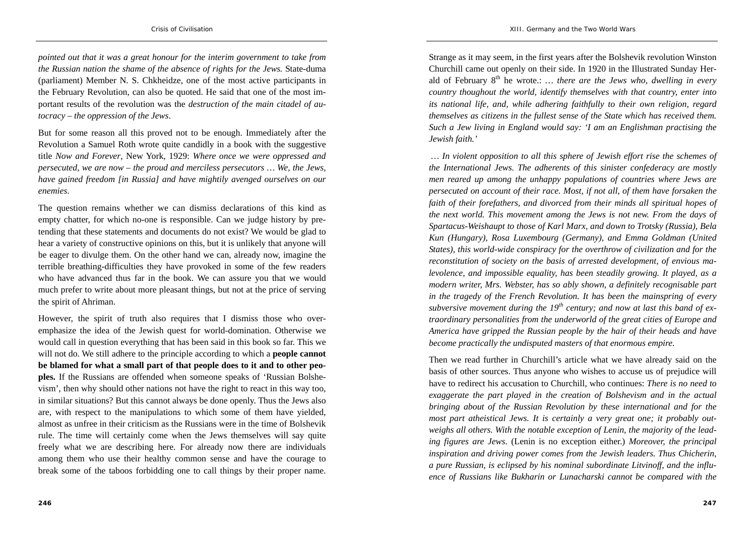*pointed out that it was a great honour for the interim government to take from the Russian nation the shame of the absence of rights for the Jews.* State-duma (parliament) Member N. S. Chkheidze, one of the most active participants in the February Revolution, can also be quoted. He said that one of the most important results of the revolution was the *destruction of the main citadel of autocracy – the oppression of the Jews*.

But for some reason all this proved not to be enough. Immediately after the Revolution a Samuel Roth wrote quite candidly in a book with the suggestive title *Now and Forever*, New York, 1929: *Where once we were oppressed and persecuted, we are now – the proud and merciless persecutors … We, the Jews, have gained freedom [in Russia] and have mightily avenged ourselves on our enemies*.

The question remains whether we can dismiss declarations of this kind as empty chatter, for which no-one is responsible. Can we judge history by pretending that these statements and documents do not exist? We would be glad to hear a variety of constructive opinions on this, but it is unlikely that anyone will be eager to divulge them. On the other hand we can, already now, imagine the terrible breathing-difficulties they have provoked in some of the few readers who have advanced thus far in the book. We can assure you that we would much prefer to write about more pleasant things, but not at the price of serving the spirit of Ahriman.

However, the spirit of truth also requires that I dismiss those who overemphasize the idea of the Jewish quest for world-domination. Otherwise we would call in question everything that has been said in this book so far. This we will not do. We still adhere to the principle according to which a **people cannot be blamed for what a small part of that people does to it and to other peoples.** If the Russians are offended when someone speaks of 'Russian Bolshevism', then why should other nations not have the right to react in this way too, in similar situations? But this cannot always be done openly. Thus the Jews also are, with respect to the manipulations to which some of them have yielded, almost as unfree in their criticism as the Russians were in the time of Bolshevik rule. The time will certainly come when the Jews themselves will say quite freely what we are describing here. For already now there are individuals among them who use their healthy common sense and have the courage to break some of the taboos forbidding one to call things by their proper name.

Strange as it may seem, in the first years after the Bolshevik revolution Winston Churchill came out openly on their side. In 1920 in the Illustrated Sunday Herald of February 8<sup>th</sup> he wrote.: *... there are the Jews who, dwelling in every country thoughout the world, identify themselves with that country, enter into its national life, and, while adhering faithfully to their own religion, regard themselves as citizens in the fullest sense of the State which has received them. Such a Jew living in England would say: 'I am an Englishman practising the Jewish faith.'*

 *… In violent opposition to all this sphere of Jewish effort rise the schemes of the International Jews. The adherents of this sinister confederacy are mostly men reared up among the unhappy populations of countries where Jews are persecuted on account of their race. Most, if not all, of them have forsaken the faith of their forefathers, and divorced from their minds all spiritual hopes of the next world. This movement among the Jews is not new. From the days of Spartacus-Weishaupt to those of Karl Marx, and down to Trotsky (Russia), Bela Kun (Hungary), Rosa Luxembourg (Germany), and Emma Goldman (United States), this world-wide conspiracy for the overthrow of civilization and for the reconstitution of society on the basis of arrested development, of envious malevolence, and impossible equality, has been steadily growing. It played, as a modern writer, Mrs. Webster, has so ably shown, a definitely recognisable part in the tragedy of the French Revolution. It has been the mainspring of every subversive movement during the 19th century; and now at last this band of extraordinary personalities from the underworld of the great cities of Europe and America have gripped the Russian people by the hair of their heads and have become practically the undisputed masters of that enormous empire.* 

Then we read further in Churchill's article what we have already said on the basis of other sources. Thus anyone who wishes to accuse us of prejudice will have to redirect his accusation to Churchill, who continues: *There is no need to exaggerate the part played in the creation of Bolshevism and in the actual bringing about of the Russian Revolution by these international and for the most part atheistical Jews. It is certainly a very great one; it probably outweighs all others. With the notable exception of Lenin, the majority of the leading figures are Jews*. (Lenin is no exception either.) *Moreover, the principal inspiration and driving power comes from the Jewish leaders. Thus Chicherin, a pure Russian, is eclipsed by his nominal subordinate Litvinoff, and the influence of Russians like Bukharin or Lunacharski cannot be compared with the*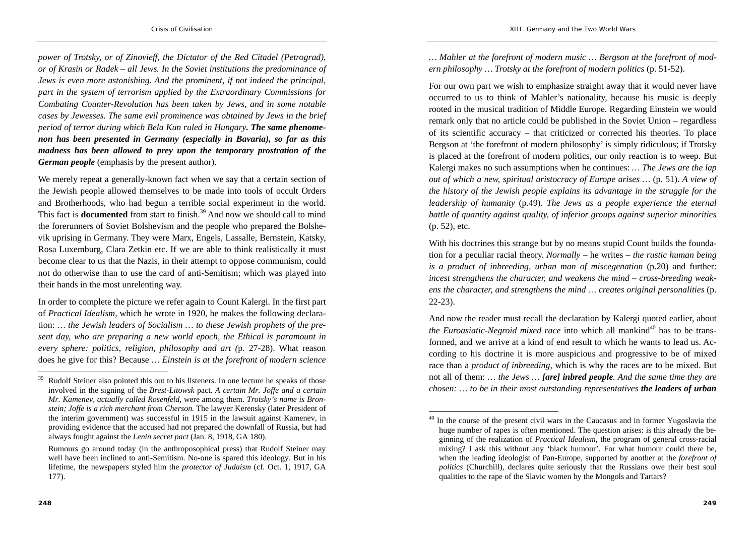*power of Trotsky, or of Zinovieff, the Dictator of the Red Citadel (Petrograd), or of Krasin or Radek – all Jews. In the Soviet institutions the predominance of Jews is even more astonishing. And the prominent, if not indeed the principal, part in the system of terrorism applied by the Extraordinary Commissions for Combating Counter-Revolution has been taken by Jews, and in some notable cases by Jewesses. The same evil prominence was obtained by Jews in the brief period of terror during which Bela Kun ruled in Hungary. The same phenomenon has been presented in Germany (especially in Bavaria), so far as this madness has been allowed to prey upon the temporary prostration of the German people* (emphasis by the present author).

We merely repeat a generally-known fact when we say that a certain section of the Jewish people allowed themselves to be made into tools of occult Orders and Brotherhoods, who had begun a terrible social experiment in the world. This fact is **documented** from start to finish.<sup>39</sup> And now we should call to mind the forerunners of Soviet Bolshevism and the people who prepared the Bolshevik uprising in Germany. They were Marx, Engels, Lassalle, Bernstein, Katsky, Rosa Luxemburg, Clara Zetkin etc. If we are able to think realistically it must become clear to us that the Nazis, in their attempt to oppose communism, could not do otherwise than to use the card of anti-Semitism; which was played into their hands in the most unrelenting way.

In order to complete the picture we refer again to Count Kalergi. In the first part of *Practical Idealism*, which he wrote in 1920, he makes the following declaration: *… the Jewish leaders of Socialism … to these Jewish prophets of the present day, who are preparing a new world epoch, the Ethical is paramount in every sphere: politics, religion, philosophy and art (*p. 27-28). What reason does he give for this? Because *… Einstein is at the forefront of modern science* 

*… Mahler at the forefront of modern music … Bergson at the forefront of modern philosophy … Trotsky at the forefront of modern politics* (p. 51-52).

For our own part we wish to emphasize straight away that it would never have occurred to us to think of Mahler's nationality, because his music is deeply rooted in the musical tradition of Middle Europe. Regarding Einstein we would remark only that no article could be published in the Soviet Union – regardless of its scientific accuracy – that criticized or corrected his theories. To place Bergson at 'the forefront of modern philosophy' is simply ridiculous; if Trotsky is placed at the forefront of modern politics, our only reaction is to weep. But Kalergi makes no such assumptions when he continues: *… The Jews are the lap out of which a new, spiritual aristocracy of Europe arises …* (p. 51). *A view of the history of the Jewish people explains its advantage in the struggle for the leadership of humanity* (p.49). *The Jews as a people experience the eternal battle of quantity against quality, of inferior groups against superior minorities* (p. 52), etc.

With his doctrines this strange but by no means stupid Count builds the foundation for a peculiar racial theory. *Normally* – he writes – *the rustic human being is a product of inbreeding, urban man of miscegenation* (p.20) and further: *incest strengthens the character, and weakens the mind – cross-breeding weakens the character, and strengthens the mind … creates original personalities* (p. 22-23).

And now the reader must recall the declaration by Kalergi quoted earlier, about *the Euroasiatic-Negroid mixed race* into which all mankind<sup>40</sup> has to be transformed, and we arrive at a kind of end result to which he wants to lead us. According to his doctrine it is more auspicious and progressive to be of mixed race than a *product of inbreeding*, which is why the races are to be mixed. But not all of them: *… the Jews … [are] inbred people. And the same time they are chosen: … to be in their most outstanding representatives the leaders of urban* 

Rudolf Steiner also pointed this out to his listeners. In one lecture he speaks of those involved in the signing of the *Brest-Litowsk* pact. *A certain Mr. Joffe and a certain Mr. Kamenev, actually called Rosenfeld,* were among them. *Trotsky's name is Bronstein; Joffe is a rich merchant from Cherson.* The lawyer Kerensky (later President of the interim government) was successful in 1915 in the lawsuit against Kamenev, in providing evidence that the accused had not prepared the downfall of Russia, but had always fought against the *Lenin secret pact* (Jan. 8, 1918, GA 180).

Rumours go around today (in the anthroposophical press) that Rudolf Steiner may well have been inclined to anti-Semitism. No-one is spared this ideology. But in his lifetime, the newspapers styled him the *protector of Judaism* (cf. Oct. 1, 1917, GA 177).

<sup>&</sup>lt;sup>40</sup> In the course of the present civil wars in the Caucasus and in former Yugoslavia the huge number of rapes is often mentioned. The question arises: is this already the beginning of the realization of *Practical Idealism*, the program of general cross-racial mixing? I ask this without any 'black humour'. For what humour could there be, when the leading ideologist of Pan-Europe, supported by another at the *forefront of politics* (Churchill), declares quite seriously that the Russians owe their best soul qualities to the rape of the Slavic women by the Mongols and Tartars?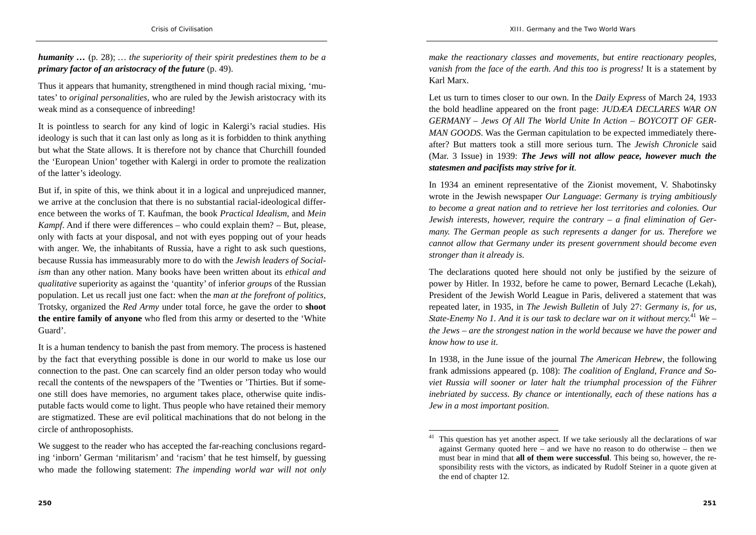*humanity …* (p. 28); *… the superiority of their spirit predestines them to be a primary factor of an aristocracy of the future* (p. 49).

Thus it appears that humanity, strengthened in mind though racial mixing, 'mutates' to *original personalities*, who are ruled by the Jewish aristocracy with its weak mind as a consequence of inbreeding!

It is pointless to search for any kind of logic in Kalergi's racial studies. His ideology is such that it can last only as long as it is forbidden to think anything but what the State allows. It is therefore not by chance that Churchill founded the 'European Union' together with Kalergi in order to promote the realization of the latter's ideology.

But if, in spite of this, we think about it in a logical and unprejudiced manner, we arrive at the conclusion that there is no substantial racial-ideological difference between the works of T. Kaufman, the book *Practical Idealism*, and *Mein Kampf*. And if there were differences – who could explain them? – But, please, only with facts at your disposal, and not with eyes popping out of your heads with anger. We, the inhabitants of Russia, have a right to ask such questions, because Russia has immeasurably more to do with the *Jewish leaders of Socialism* than any other nation. Many books have been written about its *ethical and qualitative* superiority as against the 'quantity' of inferior *groups* of the Russian population. Let us recall just one fact: when the *man at the forefront of politics*, Trotsky, organized the *Red Army* under total force, he gave the order to **shoot the entire family of anyone** who fled from this army or deserted to the 'White Guard'.

It is a human tendency to banish the past from memory. The process is hastened by the fact that everything possible is done in our world to make us lose our connection to the past. One can scarcely find an older person today who would recall the contents of the newspapers of the 'Twenties or 'Thirties. But if someone still does have memories, no argument takes place, otherwise quite indisputable facts would come to light. Thus people who have retained their memory are stigmatized. These are evil political machinations that do not belong in the circle of anthroposophists.

We suggest to the reader who has accepted the far-reaching conclusions regarding 'inborn' German 'militarism' and 'racism' that he test himself, by guessing who made the following statement: *The impending world war will not only*  *make the reactionary classes and movements, but entire reactionary peoples, vanish from the face of the earth. And this too is progress!* It is a statement by Karl Marx.

Let us turn to times closer to our own. In the *Daily Express* of March 24, 1933 the bold headline appeared on the front page: *JUDÆA DECLARES WAR ON GERMANY – Jews Of All The World Unite In Action – BOYCOTT OF GER-MAN GOODS*. Was the German capitulation to be expected immediately thereafter? But matters took a still more serious turn. The *Jewish Chronicle* said (Mar. 3 Issue) in 1939: *The Jews will not allow peace, however much the statesmen and pacifists may strive for it*.

In 1934 an eminent representative of the Zionist movement, V. Shabotinsky wrote in the Jewish newspaper *Our Language*: *Germany is trying ambitiously to become a great nation and to retrieve her lost territories and colonies. Our Jewish interests, however, require the contrary – a final elimination of Germany. The German people as such represents a danger for us. Therefore we cannot allow that Germany under its present government should become even stronger than it already is*.

The declarations quoted here should not only be justified by the seizure of power by Hitler. In 1932, before he came to power, Bernard Lecache (Lekah), President of the Jewish World League in Paris, delivered a statement that was repeated later, in 1935, in *The Jewish Bulletin* of July 27: *Germany is, for us, State-Enemy No 1. And it is our task to declare war on it without mercy.*<sup>41</sup> *We – the Jews – are the strongest nation in the world because we have the power and know how to use it*.

In 1938, in the June issue of the journal *The American Hebrew*, the following frank admissions appeared (p. 108): *The coalition of England, France and Soviet Russia will sooner or later halt the triumphal procession of the Führer inebriated by success. By chance or intentionally, each of these nations has a Jew in a most important position*.

 $41$  This question has yet another aspect. If we take seriously all the declarations of war against Germany quoted here – and we have no reason to do otherwise – then we must bear in mind that **all of them were successful**. This being so, however, the responsibility rests with the victors, as indicated by Rudolf Steiner in a quote given at the end of chapter 12.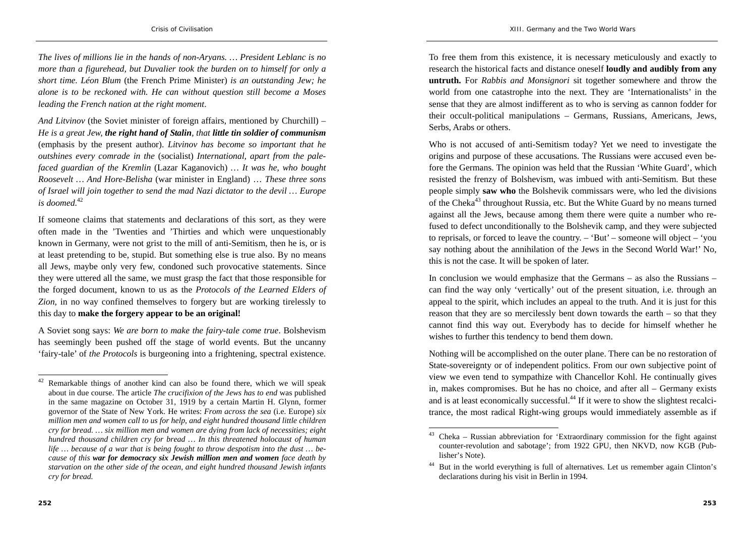*The lives of millions lie in the hands of non-Aryans. … President Leblanc is no more than a figurehead, but Duvalier took the burden on to himself for only a short time. Léon Blum* (the French Prime Minister) *is an outstanding Jew; he alone is to be reckoned with. He can without question still become a Moses leading the French nation at the right moment*.

*And Litvinov* (the Soviet minister of foreign affairs, mentioned by Churchill) – *He is a great Jew, the right hand of Stalin, that little tin soldier of communism* (emphasis by the present author). *Litvinov has become so important that he outshines every comrade in the* (socialist) *International, apart from the palefaced guardian of the Kremlin* (Lazar Kaganovich) *… It was he, who bought Roosevelt … And Hore-Belisha* (war minister in England) … *These three sons of Israel will join together to send the mad Nazi dictator to the devil … Europe is doomed.*<sup>42</sup>

If someone claims that statements and declarations of this sort, as they were often made in the 'Twenties and 'Thirties and which were unquestionably known in Germany, were not grist to the mill of anti-Semitism, then he is, or is at least pretending to be, stupid. But something else is true also. By no means all Jews, maybe only very few, condoned such provocative statements. Since they were uttered all the same, we must grasp the fact that those responsible for the forged document, known to us as the *Protocols of the Learned Elders of Zion*, in no way confined themselves to forgery but are working tirelessly to this day to **make the forgery appear to be an original!** 

A Soviet song says: *We are born to make the fairy-tale come true*. Bolshevism has seemingly been pushed off the stage of world events. But the uncanny 'fairy-tale' of *the Protocols* is burgeoning into a frightening, spectral existence.

To free them from this existence, it is necessary meticulously and exactly to research the historical facts and distance oneself **loudly and audibly from any untruth.** For *Rabbis and Monsignori* sit together somewhere and throw the world from one catastrophe into the next. They are 'Internationalists' in the sense that they are almost indifferent as to who is serving as cannon fodder for their occult-political manipulations – Germans, Russians, Americans, Jews, Serbs, Arabs or others.

Who is not accused of anti-Semitism today? Yet we need to investigate the origins and purpose of these accusations. The Russians were accused even before the Germans. The opinion was held that the Russian 'White Guard', which resisted the frenzy of Bolshevism, was imbued with anti-Semitism. But these people simply **saw who** the Bolshevik commissars were, who led the divisions of the Cheka<sup>43</sup> throughout Russia, etc. But the White Guard by no means turned against all the Jews, because among them there were quite a number who refused to defect unconditionally to the Bolshevik camp, and they were subjected to reprisals, or forced to leave the country. – 'But' – someone will object – 'you say nothing about the annihilation of the Jews in the Second World War!' No, this is not the case. It will be spoken of later.

In conclusion we would emphasize that the Germans – as also the Russians – can find the way only 'vertically' out of the present situation, i.e. through an appeal to the spirit, which includes an appeal to the truth. And it is just for this reason that they are so mercilessly bent down towards the earth – so that they cannot find this way out. Everybody has to decide for himself whether he wishes to further this tendency to bend them down.

Nothing will be accomplished on the outer plane. There can be no restoration of State-sovereignty or of independent politics. From our own subjective point of view we even tend to sympathize with Chancellor Kohl. He continually gives in, makes compromises. But he has no choice, and after all – Germany exists and is at least economically successful.<sup>44</sup> If it were to show the slightest recalcitrance, the most radical Right-wing groups would immediately assemble as if

 $42$  Remarkable things of another kind can also be found there, which we will speak about in due course. The article *The crucifixion of the Jews has to end* was published in the same magazine on October 31, 1919 by a certain Martin H. Glynn, former governor of the State of New York. He writes: *From across the sea* (i.e. Europe) *six million men and women call to us for help, and eight hundred thousand little children cry for bread. … six million men and women are dying from lack of necessities; eight hundred thousand children cry for bread … In this threatened holocaust of human life … because of a war that is being fought to throw despotism into the dust … because of this war for democracy six Jewish million men and women face death by starvation on the other side of the ocean, and eight hundred thousand Jewish infants cry for bread.*

 $43$  Cheka – Russian abbreviation for 'Extraordinary commission for the fight against counter-revolution and sabotage'; from 1922 GPU, then NKVD, now KGB (Publisher's Note).

But in the world everything is full of alternatives. Let us remember again Clinton's declarations during his visit in Berlin in 1994.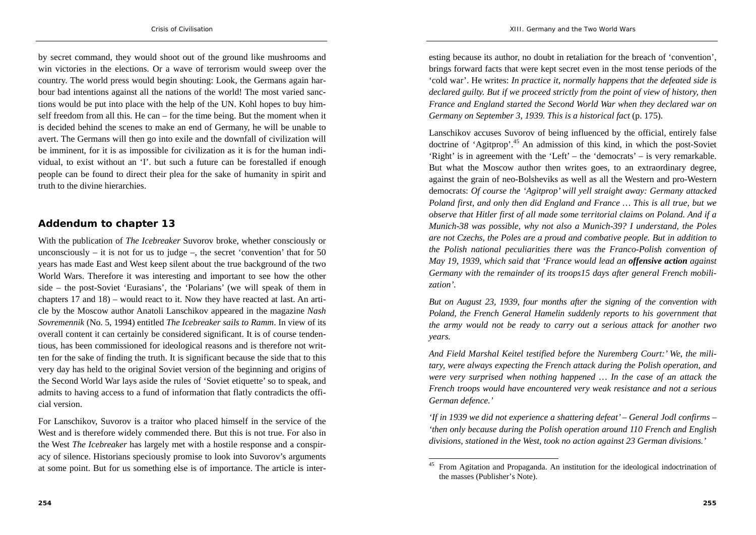by secret command, they would shoot out of the ground like mushrooms and win victories in the elections. Or a wave of terrorism would sweep over the country. The world press would begin shouting: Look, the Germans again harbour bad intentions against all the nations of the world! The most varied sanctions would be put into place with the help of the UN. Kohl hopes to buy himself freedom from all this. He can – for the time being. But the moment when it is decided behind the scenes to make an end of Germany, he will be unable to avert. The Germans will then go into exile and the downfall of civilization will be imminent, for it is as impossible for civilization as it is for the human individual, to exist without an 'I'. but such a future can be forestalled if enough people can be found to direct their plea for the sake of humanity in spirit and truth to the divine hierarchies.

### **Addendum to chapter 13**

With the publication of *The Icebreaker* Suvorov broke, whether consciously or unconsciously – it is not for us to judge –, the secret 'convention' that for 50 years has made East and West keep silent about the true background of the two World Wars. Therefore it was interesting and important to see how the other side – the post-Soviet 'Eurasians', the 'Polarians' (we will speak of them in chapters 17 and 18) – would react to it. Now they have reacted at last. An article by the Moscow author Anatoli Lanschikov appeared in the magazine *Nash Sovremennik* (No. 5, 1994) entitled *The Icebreaker sails to Ramm*. In view of its overall content it can certainly be considered significant. It is of course tendentious, has been commissioned for ideological reasons and is therefore not written for the sake of finding the truth. It is significant because the side that to this very day has held to the original Soviet version of the beginning and origins of the Second World War lays aside the rules of 'Soviet etiquette' so to speak, and admits to having access to a fund of information that flatly contradicts the official version.

For Lanschikov, Suvorov is a traitor who placed himself in the service of the West and is therefore widely commended there. But this is not true. For also in the West *The Icebreaker* has largely met with a hostile response and a conspiracy of silence. Historians speciously promise to look into Suvorov's arguments at some point. But for us something else is of importance. The article is inter-

esting because its author, no doubt in retaliation for the breach of 'convention', brings forward facts that were kept secret even in the most tense periods of the 'cold war'. He writes: *In practice it, normally happens that the defeated side is declared guilty. But if we proceed strictly from the point of view of history, then France and England started the Second World War when they declared war on Germany on September 3, 1939. This is a historical fact* (p. 175).

Lanschikov accuses Suvorov of being influenced by the official, entirely false doctrine of 'Agitprop'.45 An admission of this kind, in which the post-Soviet 'Right' is in agreement with the 'Left' – the 'democrats' – is very remarkable. But what the Moscow author then writes goes, to an extraordinary degree, against the grain of neo-Bolsheviks as well as all the Western and pro-Western democrats: *Of course the 'Agitprop' will yell straight away: Germany attacked Poland first, and only then did England and France … This is all true, but we observe that Hitler first of all made some territorial claims on Poland. And if a Munich-38 was possible, why not also a Munich-39? I understand, the Poles are not Czechs, the Poles are a proud and combative people. But in addition to the Polish national peculiarities there was the Franco-Polish convention of May 19, 1939, which said that 'France would lead an offensive action against Germany with the remainder of its troops15 days after general French mobilization'.*

*But on August 23, 1939, four months after the signing of the convention with Poland, the French General Hamelin suddenly reports to his government that the army would not be ready to carry out a serious attack for another two years.* 

*And Field Marshal Keitel testified before the Nuremberg Court:' We, the military, were always expecting the French attack during the Polish operation, and were very surprised when nothing happened … In the case of an attack the French troops would have encountered very weak resistance and not a serious German defence.'* 

*'If in 1939 we did not experience a shattering defeat' – General Jodl confirms – 'then only because during the Polish operation around 110 French and English divisions, stationed in the West, took no action against 23 German divisions.'* 

<sup>45</sup> From Agitation and Propaganda. An institution for the ideological indoctrination of the masses (Publisher's Note).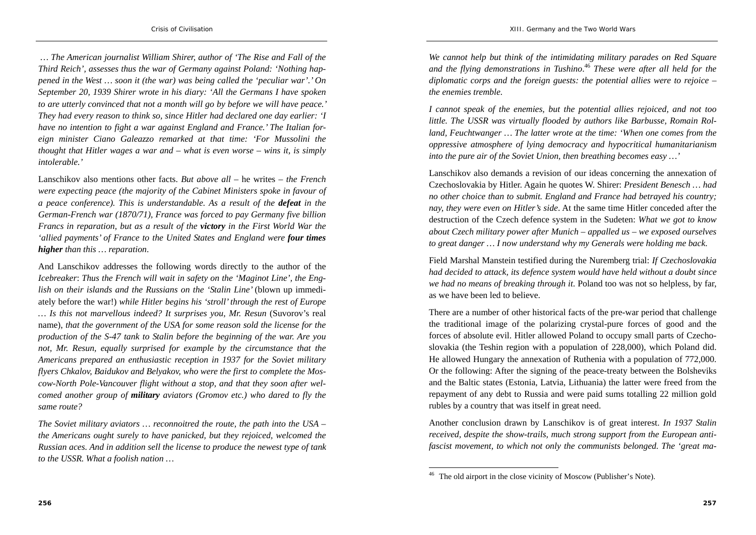*… The American journalist William Shirer, author of 'The Rise and Fall of the Third Reich', assesses thus the war of Germany against Poland: 'Nothing happened in the West … soon it (the war) was being called the 'peculiar war'.' On September 20, 1939 Shirer wrote in his diary: 'All the Germans I have spoken to are utterly convinced that not a month will go by before we will have peace.' They had every reason to think so, since Hitler had declared one day earlier: 'I have no intention to fight a war against England and France.' The Italian foreign minister Ciano Galeazzo remarked at that time: 'For Mussolini the thought that Hitler wages a war and – what is even worse – wins it, is simply intolerable.'* 

Lanschikov also mentions other facts. *But above all* – he writes – *the French were expecting peace (the majority of the Cabinet Ministers spoke in favour of a peace conference). This is understandable. As a result of the defeat in the German-French war (1870/71), France was forced to pay Germany five billion Francs in reparation, but as a result of the victory in the First World War the 'allied payments' of France to the United States and England were four times higher than this … reparation*.

And Lanschikov addresses the following words directly to the author of the *Icebreaker*: *Thus the French will wait in safety on the 'Maginot Line', the English on their islands and the Russians on the 'Stalin Line'* (blown up immediately before the war!) *while Hitler begins his 'stroll' through the rest of Europe … Is this not marvellous indeed? It surprises you, Mr. Resun* (Suvorov's real name), *that the government of the USA for some reason sold the license for the production of the S-47 tank to Stalin before the beginning of the war. Are you not, Mr. Resun, equally surprised for example by the circumstance that the Americans prepared an enthusiastic reception in 1937 for the Soviet military flyers Chkalov, Baidukov and Belyakov, who were the first to complete the Moscow-North Pole-Vancouver flight without a stop, and that they soon after welcomed another group of military aviators (Gromov etc.) who dared to fly the same route?* 

*The Soviet military aviators … reconnoitred the route, the path into the USA – the Americans ought surely to have panicked, but they rejoiced, welcomed the Russian aces. And in addition sell the license to produce the newest type of tank to the USSR. What a foolish nation …* 

*We cannot help but think of the intimidating military parades on Red Square and the flying demonstrations in Tushino*.<sup>46</sup> *These were after all held for the diplomatic corps and the foreign guests: the potential allies were to rejoice – the enemies tremble.* 

*I cannot speak of the enemies, but the potential allies rejoiced, and not too little. The USSR was virtually flooded by authors like Barbusse, Romain Rolland, Feuchtwanger … The latter wrote at the time: 'When one comes from the oppressive atmosphere of lying democracy and hypocritical humanitarianism into the pure air of the Soviet Union, then breathing becomes easy …'* 

Lanschikov also demands a revision of our ideas concerning the annexation of Czechoslovakia by Hitler. Again he quotes W. Shirer: *President Benesch … had no other choice than to submit. England and France had betrayed his country; nay, they were even on Hitler's side*. At the same time Hitler conceded after the destruction of the Czech defence system in the Sudeten: *What we got to know about Czech military power after Munich – appalled us – we exposed ourselves to great danger … I now understand why my Generals were holding me back*.

Field Marshal Manstein testified during the Nuremberg trial: *If Czechoslovakia had decided to attack, its defence system would have held without a doubt since we had no means of breaking through it*. Poland too was not so helpless, by far, as we have been led to believe.

There are a number of other historical facts of the pre-war period that challenge the traditional image of the polarizing crystal-pure forces of good and the forces of absolute evil. Hitler allowed Poland to occupy small parts of Czechoslovakia (the Teshin region with a population of 228,000), which Poland did. He allowed Hungary the annexation of Ruthenia with a population of 772,000. Or the following: After the signing of the peace-treaty between the Bolsheviks and the Baltic states (Estonia, Latvia, Lithuania) the latter were freed from the repayment of any debt to Russia and were paid sums totalling 22 million gold rubles by a country that was itself in great need.

Another conclusion drawn by Lanschikov is of great interest. *In 1937 Stalin received, despite the show-trails, much strong support from the European antifascist movement, to which not only the communists belonged. The 'great ma-*

The old airport in the close vicinity of Moscow (Publisher's Note).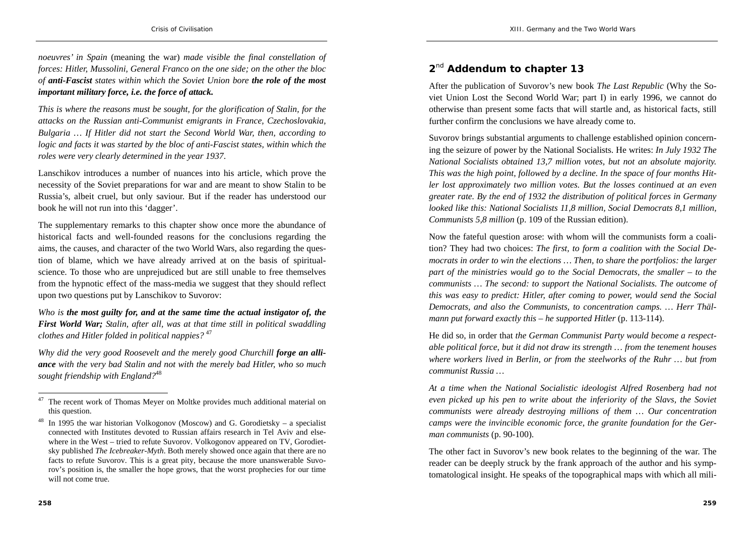*noeuvres' in Spain* (meaning the war) *made visible the final constellation of forces: Hitler, Mussolini, General Franco on the one side; on the other the bloc of anti-Fascist states within which the Soviet Union bore the role of the most important military force, i.e. the force of attack.*

*This is where the reasons must be sought, for the glorification of Stalin, for the attacks on the Russian anti-Communist emigrants in France, Czechoslovakia, Bulgaria … If Hitler did not start the Second World War, then, according to logic and facts it was started by the bloc of anti-Fascist states, within which the roles were very clearly determined in the year 1937*.

Lanschikov introduces a number of nuances into his article, which prove the necessity of the Soviet preparations for war and are meant to show Stalin to be Russia's, albeit cruel, but only saviour. But if the reader has understood our book he will not run into this 'dagger'.

The supplementary remarks to this chapter show once more the abundance of historical facts and well-founded reasons for the conclusions regarding the aims, the causes, and character of the two World Wars, also regarding the question of blame, which we have already arrived at on the basis of spiritualscience. To those who are unprejudiced but are still unable to free themselves from the hypnotic effect of the mass-media we suggest that they should reflect upon two questions put by Lanschikov to Suvorov:

*Who is the most guilty for, and at the same time the actual instigator of, the First World War; Stalin, after all, was at that time still in political swaddling clothes and Hitler folded in political nappies?* <sup>47</sup>

*Why did the very good Roosevelt and the merely good Churchill forge an alliance with the very bad Stalin and not with the merely bad Hitler, who so much sought friendship with England?*<sup>48</sup>

### **<sup>2</sup>**nd **Addendum to chapter 13**

After the publication of Suvorov's new book *The Last Republic* (Why the Soviet Union Lost the Second World War; part I) in early 1996, we cannot do otherwise than present some facts that will startle and, as historical facts, still further confirm the conclusions we have already come to.

Suvorov brings substantial arguments to challenge established opinion concerning the seizure of power by the National Socialists. He writes: *In July 1932 The National Socialists obtained 13,7 million votes, but not an absolute majority. This was the high point, followed by a decline. In the space of four months Hitler lost approximately two million votes. But the losses continued at an even greater rate. By the end of 1932 the distribution of political forces in Germany looked like this: National Socialists 11,8 million, Social Democrats 8,1 million, Communists 5,8 million* (p. 109 of the Russian edition).

Now the fateful question arose: with whom will the communists form a coalition? They had two choices: *The first, to form a coalition with the Social Democrats in order to win the elections … Then, to share the portfolios: the larger part of the ministries would go to the Social Democrats, the smaller – to the communists … The second: to support the National Socialists. The outcome of this was easy to predict: Hitler, after coming to power, would send the Social Democrats, and also the Communists, to concentration camps. … Herr Thälmann put forward exactly this – he supported Hitler* (p. 113-114).

He did so, in order that *the German Communist Party would become a respectable political force, but it did not draw its strength … from the tenement houses where workers lived in Berlin, or from the steelworks of the Ruhr … but from communist Russia …* 

 $47$  The recent work of Thomas Meyer on Moltke provides much additional material on this question.

<sup>&</sup>lt;sup>48</sup> In 1995 the war historian Volkogonov (Moscow) and G. Gorodietsky – a specialist connected with Institutes devoted to Russian affairs research in Tel Aviv and elsewhere in the West – tried to refute Suvorov. Volkogonov appeared on TV, Gorodietsky published *The Icebreaker-Myth*. Both merely showed once again that there are no facts to refute Suvorov. This is a great pity, because the more unanswerable Suvorov's position is, the smaller the hope grows, that the worst prophecies for our time will not come true.

*At a time when the National Socialistic ideologist Alfred Rosenberg had not even picked up his pen to write about the inferiority of the Slavs, the Soviet communists were already destroying millions of them … Our concentration camps were the invincible economic force, the granite foundation for the German communists* (p. 90-100).

The other fact in Suvorov's new book relates to the beginning of the war. The reader can be deeply struck by the frank approach of the author and his symptomatological insight. He speaks of the topographical maps with which all mili-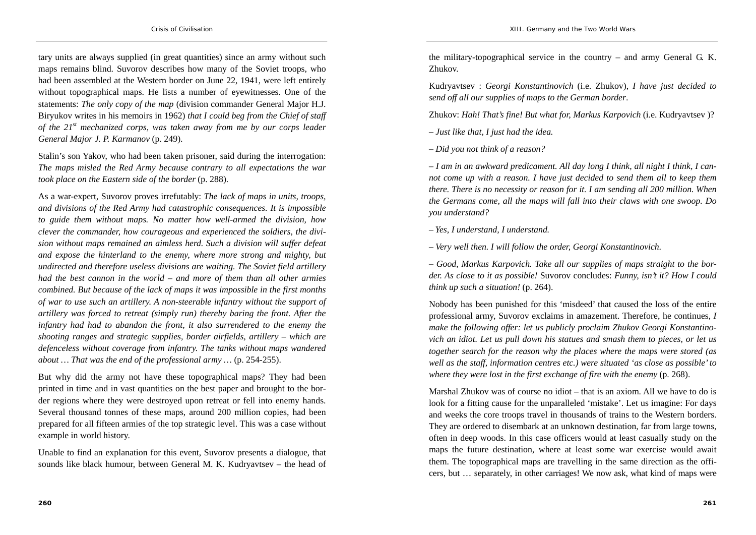tary units are always supplied (in great quantities) since an army without such maps remains blind. Suvorov describes how many of the Soviet troops, who had been assembled at the Western border on June 22, 1941, were left entirely without topographical maps. He lists a number of eyewitnesses. One of the statements: *The only copy of the map* (division commander General Major H.J. Biryukov writes in his memoirs in 1962) *that I could beg from the Chief of staff of the 21st mechanized corps, was taken away from me by our corps leader General Major J. P. Karmanov* (p. 249).

Stalin's son Yakov, who had been taken prisoner, said during the interrogation: *The maps misled the Red Army because contrary to all expectations the war took place on the Eastern side of the border* (p. 288).

As a war-expert, Suvorov proves irrefutably: *The lack of maps in units, troops, and divisions of the Red Army had catastrophic consequences. It is impossible to guide them without maps. No matter how well-armed the division, how clever the commander, how courageous and experienced the soldiers, the division without maps remained an aimless herd. Such a division will suffer defeat and expose the hinterland to the enemy, where more strong and mighty, but undirected and therefore useless divisions are waiting. The Soviet field artillery had the best cannon in the world – and more of them than all other armies combined. But because of the lack of maps it was impossible in the first months of war to use such an artillery. A non-steerable infantry without the support of artillery was forced to retreat (simply run) thereby baring the front. After the infantry had had to abandon the front, it also surrendered to the enemy the shooting ranges and strategic supplies, border airfields, artillery – which are defenceless without coverage from infantry. The tanks without maps wandered about … That was the end of the professional army …* (p. 254-255).

But why did the army not have these topographical maps? They had been printed in time and in vast quantities on the best paper and brought to the border regions where they were destroyed upon retreat or fell into enemy hands. Several thousand tonnes of these maps, around 200 million copies, had been prepared for all fifteen armies of the top strategic level. This was a case without example in world history.

Unable to find an explanation for this event, Suvorov presents a dialogue, that sounds like black humour, between General M. K. Kudryavtsev – the head of the military-topographical service in the country – and army General G. K. Zhukov.

Kudryavtsev : *Georgi Konstantinovich* (i.e. Zhukov), *I have just decided to send off all our supplies of maps to the German border*.

Zhukov: *Hah! That's fine! But what for, Markus Karpovich* (i.e. Kudryavtsev )?

*– Just like that, I just had the idea.* 

*– Did you not think of a reason?* 

*– I am in an awkward predicament. All day long I think, all night I think, I cannot come up with a reason. I have just decided to send them all to keep them there. There is no necessity or reason for it. I am sending all 200 million. When the Germans come, all the maps will fall into their claws with one swoop. Do you understand?* 

*– Yes, I understand, I understand.* 

*– Very well then. I will follow the order, Georgi Konstantinovich*.

*– Good, Markus Karpovich. Take all our supplies of maps straight to the border. As close to it as possible!* Suvorov concludes: *Funny, isn't it? How I could think up such a situation!* (p. 264).

Nobody has been punished for this 'misdeed' that caused the loss of the entire professional army, Suvorov exclaims in amazement. Therefore, he continues, *I make the following offer: let us publicly proclaim Zhukov Georgi Konstantinovich an idiot. Let us pull down his statues and smash them to pieces, or let us together search for the reason why the places where the maps were stored (as well as the staff, information centres etc.) were situated 'as close as possible' to* where they were lost in the first exchange of fire with the enemy (p. 268).

Marshal Zhukov was of course no idiot – that is an axiom. All we have to do is look for a fitting cause for the unparalleled 'mistake'. Let us imagine: For days and weeks the core troops travel in thousands of trains to the Western borders. They are ordered to disembark at an unknown destination, far from large towns, often in deep woods. In this case officers would at least casually study on the maps the future destination, where at least some war exercise would await them. The topographical maps are travelling in the same direction as the officers, but … separately, in other carriages! We now ask, what kind of maps were